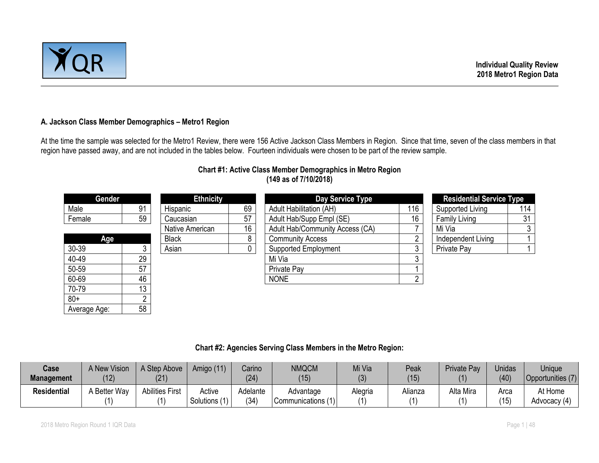

#### **A. Jackson Class Member Demographics – Metro1 Region**

At the time the sample was selected for the Metro1 Review, there were 156 Active Jackson Class Members in Region. Since that time, seven of the class members in that region have passed away, and are not included in the tables below. Fourteen individuals were chosen to be part of the review sample.

# **Chart #1: Active Class Member Demographics in Metro Region (149 as of 7/10/2018)**

| Gender       |    | <b>Ethnicity</b> |    | Day Service Type                |     | <b>Residential Service Type</b> |     |
|--------------|----|------------------|----|---------------------------------|-----|---------------------------------|-----|
| Male         | 91 | Hispanic         | 69 | <b>Adult Habilitation (AH)</b>  | 116 | Supported Living                | 114 |
| Female       | 59 | Caucasian        | 57 | Adult Hab/Supp Empl (SE)        | 16  | <b>Family Living</b>            | 31  |
|              |    | Native American  | 16 | Adult Hab/Community Access (CA) |     | Mi Via                          |     |
| Age          |    | <b>Black</b>     | 8  | <b>Community Access</b>         | n   | Independent Living              |     |
| 30-39        |    | Asian            | 0  | <b>Supported Employment</b>     | 3   | Private Pay                     |     |
| 40-49        | 29 |                  |    | Mi Via                          | ົ   |                                 |     |
| 50-59        | 57 |                  |    | Private Pay                     |     |                                 |     |
| 60-69        | 46 |                  |    | <b>NONE</b>                     | C   |                                 |     |
| 70-79        | 13 |                  |    |                                 |     |                                 |     |
| $80+$        |    |                  |    |                                 |     |                                 |     |
| Average Age: | 58 |                  |    |                                 |     |                                 |     |

#### **Chart #2: Agencies Serving Class Members in the Metro Region:**

| Case<br><b>Management</b> | A New Vision<br>(12) | A Step Above<br>(21)   | Amigo (11)          | Carino<br>(24)   | <b>NMQCM</b><br>(15)            | Mi Via<br>(3)            | Peak<br>(15) | Private Pay | <b>Unidas</b><br>(40) | <b>Unique</b><br>Opportunities (7) |
|---------------------------|----------------------|------------------------|---------------------|------------------|---------------------------------|--------------------------|--------------|-------------|-----------------------|------------------------------------|
| <b>Residential</b>        | <b>Better Way</b>    | <b>Abilities First</b> | Active<br>Solutions | Adelante<br>(34) | Advantage<br>Communications (1) | Alegria<br>$\mathcal{U}$ | Alianza      | Alta Mira   | Arca<br>(15)          | At Home<br>Advocacy (4)            |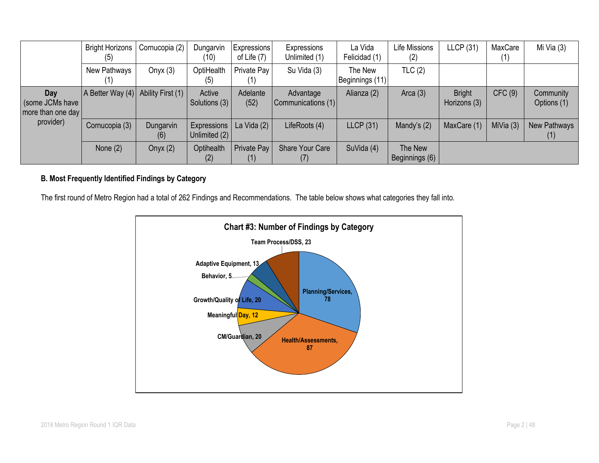|                                               | <b>Bright Horizons</b><br>(5)      | Cornucopia (2)   | Dungarvin<br>(10)            | <b>Expressions</b><br>of Life (7) | Expressions<br>Unlimited (1)    | La Vida<br>Felicidad (1)   | Life Missions<br>(2)      | <b>LLCP</b> (31)              | MaxCare     | Mi Via (3)               |
|-----------------------------------------------|------------------------------------|------------------|------------------------------|-----------------------------------|---------------------------------|----------------------------|---------------------------|-------------------------------|-------------|--------------------------|
|                                               | New Pathways                       | Onyx $(3)$       | OptiHealth<br>(5)            | Private Pay                       | Su Vida (3)                     | The New<br>Beginnings (11) | TLC(2)                    |                               |             |                          |
| Day<br>(some JCMs have  <br>more than one day | A Better Way (4) Ability First (1) |                  | Active<br>Solutions (3)      | Adelante<br>(52)                  | Advantage<br>Communications (1) | Alianza (2)                | Arca $(3)$                | <b>Bright</b><br>Horizons (3) | CFC(9)      | Community<br>Options (1) |
| provider)                                     | Cornucopia (3)                     | Dungarvin<br>(6) | Expressions<br>Unlimited (2) | La Vida $(2)$                     | LifeRoots (4)                   | LLCP(31)                   | Mandy's $(2)$             | MaxCare (1)                   | MiVia $(3)$ | New Pathways<br>(1)      |
|                                               | None $(2)$                         | Onyx $(2)$       | Optihealth                   | Private Pay                       | <b>Share Your Care</b>          | SuVida (4)                 | The New<br>Beginnings (6) |                               |             |                          |

# **B. Most Frequently Identified Findings by Category**

The first round of Metro Region had a total of 262 Findings and Recommendations. The table below shows what categories they fall into.

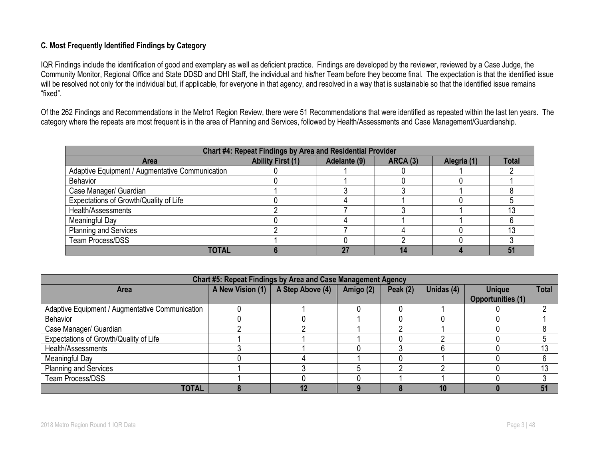## **C. Most Frequently Identified Findings by Category**

IQR Findings include the identification of good and exemplary as well as deficient practice. Findings are developed by the reviewer, reviewed by a Case Judge, the Community Monitor, Regional Office and State DDSD and DHI Staff, the individual and his/her Team before they become final. The expectation is that the identified issue will be resolved not only for the individual but, if applicable, for everyone in that agency, and resolved in a way that is sustainable so that the identified issue remains "fixed".

Of the 262 Findings and Recommendations in the Metro1 Region Review, there were 51 Recommendations that were identified as repeated within the last ten years. The category where the repeats are most frequent is in the area of Planning and Services, followed by Health/Assessments and Case Management/Guardianship.

| Chart #4: Repeat Findings by Area and Residential Provider |                          |              |                 |             |              |  |  |  |
|------------------------------------------------------------|--------------------------|--------------|-----------------|-------------|--------------|--|--|--|
| <b>Area</b>                                                | <b>Ability First (1)</b> | Adelante (9) | <b>ARCA (3)</b> | Alegria (1) | <b>Total</b> |  |  |  |
| Adaptive Equipment / Augmentative Communication            |                          |              |                 |             |              |  |  |  |
| <b>Behavior</b>                                            |                          |              |                 |             |              |  |  |  |
| Case Manager/ Guardian                                     |                          |              |                 |             |              |  |  |  |
| Expectations of Growth/Quality of Life                     |                          |              |                 |             |              |  |  |  |
| Health/Assessments                                         |                          |              |                 |             |              |  |  |  |
| Meaningful Day                                             |                          |              |                 |             |              |  |  |  |
| <b>Planning and Services</b>                               |                          |              |                 |             |              |  |  |  |
| <b>Team Process/DSS</b>                                    |                          |              |                 |             |              |  |  |  |
| <b>TOTAL</b>                                               |                          |              | 14              |             | 51           |  |  |  |

| Chart #5: Repeat Findings by Area and Case Management Agency |  |                                   |           |            |            |                          |              |  |  |
|--------------------------------------------------------------|--|-----------------------------------|-----------|------------|------------|--------------------------|--------------|--|--|
| Area                                                         |  | A New Vision (1) A Step Above (4) | Amigo (2) | Peak $(2)$ | Unidas (4) | <b>Unique</b>            | <b>Total</b> |  |  |
|                                                              |  |                                   |           |            |            | <b>Opportunities (1)</b> |              |  |  |
| Adaptive Equipment / Augmentative Communication              |  |                                   |           |            |            |                          | റ            |  |  |
| <b>Behavior</b>                                              |  |                                   |           |            |            |                          |              |  |  |
| Case Manager/ Guardian                                       |  |                                   |           |            |            |                          |              |  |  |
| Expectations of Growth/Quality of Life                       |  |                                   |           |            |            |                          |              |  |  |
| Health/Assessments                                           |  |                                   |           |            |            |                          | 13           |  |  |
| Meaningful Day                                               |  |                                   |           |            |            |                          | 6            |  |  |
| <b>Planning and Services</b>                                 |  |                                   |           |            |            |                          | 13           |  |  |
| Team Process/DSS                                             |  |                                   |           |            |            |                          |              |  |  |
| <b>TOTAL</b>                                                 |  | 12                                |           |            | 10         |                          | 51           |  |  |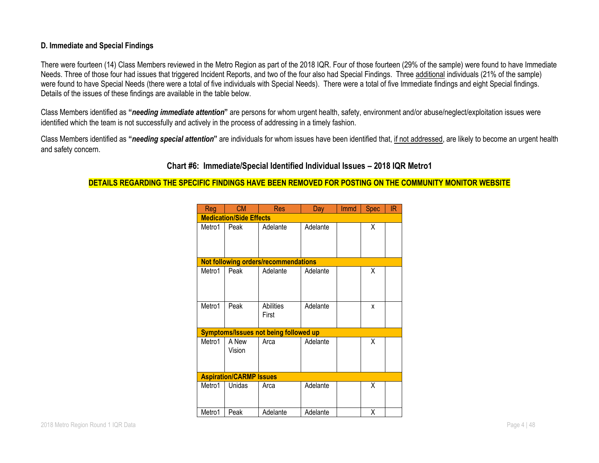#### **D. Immediate and Special Findings**

There were fourteen (14) Class Members reviewed in the Metro Region as part of the 2018 IQR. Four of those fourteen (29% of the sample) were found to have Immediate Needs. Three of those four had issues that triggered Incident Reports, and two of the four also had Special Findings. Three additional individuals (21% of the sample) were found to have Special Needs (there were a total of five individuals with Special Needs). There were a total of five Immediate findings and eight Special findings. Details of the issues of these findings are available in the table below.

Class Members identified as **"***needing immediate attention***"** are persons for whom urgent health, safety, environment and/or abuse/neglect/exploitation issues were identified which the team is not successfully and actively in the process of addressing in a timely fashion.

Class Members identified as **"***needing special attention***"** are individuals for whom issues have been identified that, if not addressed, are likely to become an urgent health and safety concern.

# **Chart #6: Immediate/Special Identified Individual Issues – 2018 IQR Metro1**

#### **DETAILS REGARDING THE SPECIFIC FINDINGS HAVE BEEN REMOVED FOR POSTING ON THE COMMUNITY MONITOR WEBSITE**

| <b>Reg</b> | <b>CM</b>                      | <b>Res</b>                                   | Day      | Immd | <b>Spec</b> | IR |
|------------|--------------------------------|----------------------------------------------|----------|------|-------------|----|
|            | <b>Medication/Side Effects</b> |                                              |          |      |             |    |
| Metro1     | Peak                           | Adelante                                     | Adelante |      | X           |    |
|            |                                | Not following orders/recommendations         |          |      |             |    |
| Metro1     | Peak                           | Adelante                                     | Adelante |      | Χ           |    |
| Metro1     | Peak                           | Abilities<br>First                           | Adelante |      | x           |    |
|            |                                | <b>Symptoms/Issues not being followed up</b> |          |      |             |    |
| Metro1     | A New<br>Vision                | Arca                                         | Adelante |      | Χ           |    |
|            | <b>Aspiration/CARMP Issues</b> |                                              |          |      |             |    |
| Metro1     | Unidas                         | Arca                                         | Adelante |      | χ           |    |
| Metro1     | Peak                           | Adelante                                     | Adelante |      | Χ           |    |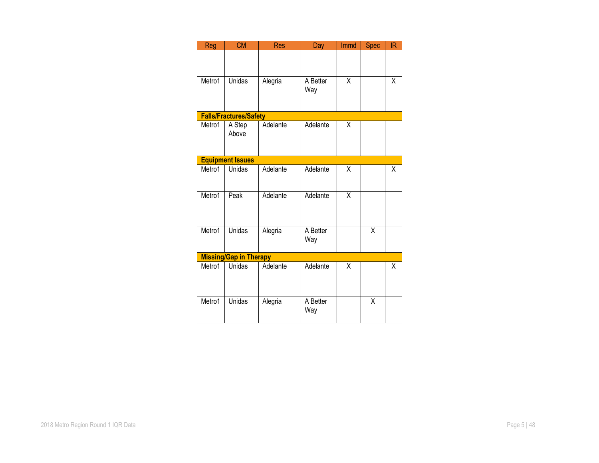| <b>Reg</b> | <b>CM</b>                     | <b>Res</b> | Day             | Immd | <b>Spec</b>             | <b>IR</b>               |
|------------|-------------------------------|------------|-----------------|------|-------------------------|-------------------------|
|            |                               |            |                 |      |                         |                         |
| Metro1     | <b>Unidas</b>                 | Alegria    | A Better<br>Way | X    |                         | X                       |
|            | <b>Falls/Fractures/Safety</b> |            |                 |      |                         |                         |
| Metro1     | A Step<br>Above               | Adelante   | Adelante        | X    |                         |                         |
|            | <b>Equipment Issues</b>       |            |                 |      |                         |                         |
| Metro1     | Unidas                        | Adelante   | Adelante        | X    |                         | X                       |
| Metro1     | Peak                          | Adelante   | Adelante        | X    |                         |                         |
| Metro1     | <b>Unidas</b>                 | Alegria    | A Better<br>Way |      | $\overline{\mathsf{x}}$ |                         |
|            | <b>Missing/Gap in Therapy</b> |            |                 |      |                         |                         |
| Metro1     | Unidas                        | Adelante   | Adelante        | X    |                         | $\overline{\mathsf{x}}$ |
| Metro1     | Unidas                        | Alegria    | A Better<br>Way |      | Χ                       |                         |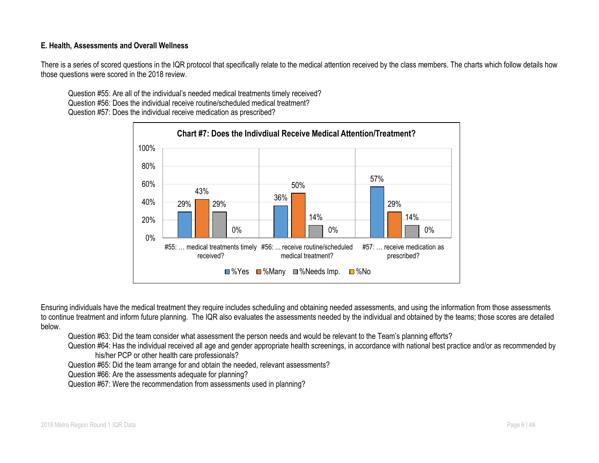#### **E. Health, Assessments and Overall Wellness**

There is a series of scored questions in the IQR protocol that specifically relate to the medical attention received by the class members. The charts which follow details how those questions were scored in the 2018 review.

Question #55: Are all of the individual's needed medical treatments timely received? Question #56: Does the individual receive routine/scheduled medical treatment? Question #57: Does the individual receive medication as prescribed?



Ensuring individuals have the medical treatment they require includes scheduling and obtaining needed assessments, and using the information from those assessments to continue treatment and inform future planning. The IQR also evaluates the assessments needed by the individual and obtained by the teams; those scores are detailed below.

Question #63: Did the team consider what assessment the person needs and would be relevant to the Team's planning efforts?

Question #64: Has the individual received all age and gender appropriate health screenings, in accordance with national best practice and/or as recommended by his/her PCP or other health care professionals?

Question #65: Did the team arrange for and obtain the needed, relevant assessments?

Question #66: Are the assessments adequate for planning?

Question #67: Were the recommendation from assessments used in planning?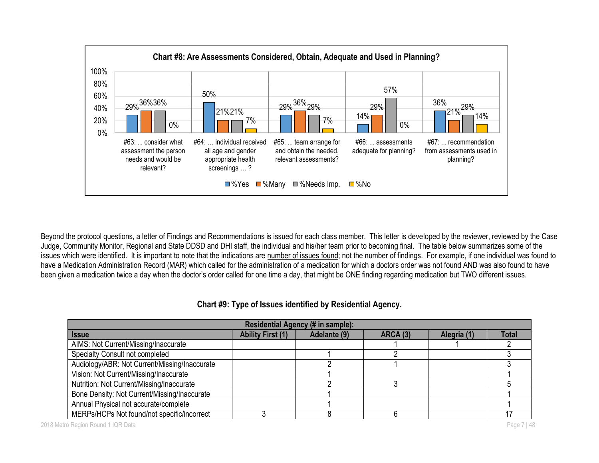

Beyond the protocol questions, a letter of Findings and Recommendations is issued for each class member. This letter is developed by the reviewer, reviewed by the Case Judge, Community Monitor, Regional and State DDSD and DHI staff, the individual and his/her team prior to becoming final. The table below summarizes some of the issues which were identified. It is important to note that the indications are number of issues found; not the number of findings. For example, if one individual was found to have a Medication Administration Record (MAR) which called for the administration of a medication for which a doctors order was not found AND was also found to have been given a medication twice a day when the doctor's order called for one time a day, that might be ONE finding regarding medication but TWO different issues.

| Chart #9: Type of Issues identified by Residential Agency. |  |
|------------------------------------------------------------|--|
|------------------------------------------------------------|--|

| Residential Agency (# in sample):             |                          |              |                 |             |              |  |  |  |
|-----------------------------------------------|--------------------------|--------------|-----------------|-------------|--------------|--|--|--|
| <b>Issue</b>                                  | <b>Ability First (1)</b> | Adelante (9) | <b>ARCA (3)</b> | Alegria (1) | <b>Total</b> |  |  |  |
| AIMS: Not Current/Missing/Inaccurate          |                          |              |                 |             |              |  |  |  |
| Specialty Consult not completed               |                          |              |                 |             |              |  |  |  |
| Audiology/ABR: Not Current/Missing/Inaccurate |                          |              |                 |             |              |  |  |  |
| Vision: Not Current/Missing/Inaccurate        |                          |              |                 |             |              |  |  |  |
| Nutrition: Not Current/Missing/Inaccurate     |                          |              |                 |             |              |  |  |  |
| Bone Density: Not Current/Missing/Inaccurate  |                          |              |                 |             |              |  |  |  |
| Annual Physical not accurate/complete         |                          |              |                 |             |              |  |  |  |
| MERPs/HCPs Not found/not specific/incorrect   |                          |              |                 |             |              |  |  |  |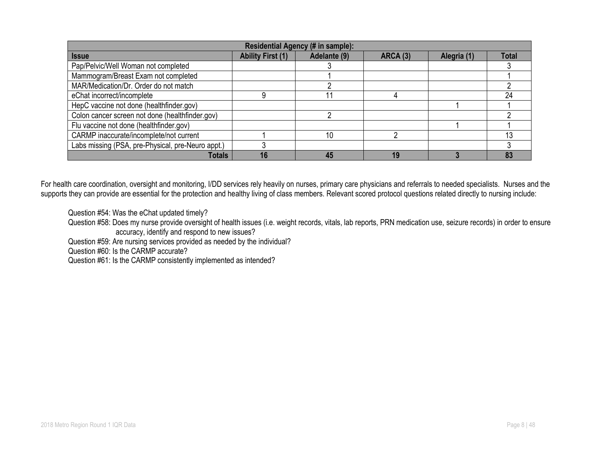| Residential Agency (# in sample):                 |                          |              |                 |             |              |  |  |  |
|---------------------------------------------------|--------------------------|--------------|-----------------|-------------|--------------|--|--|--|
| <b>Issue</b>                                      | <b>Ability First (1)</b> | Adelante (9) | <b>ARCA (3)</b> | Alegria (1) | <b>Total</b> |  |  |  |
| Pap/Pelvic/Well Woman not completed               |                          |              |                 |             |              |  |  |  |
| Mammogram/Breast Exam not completed               |                          |              |                 |             |              |  |  |  |
| MAR/Medication/Dr. Order do not match             |                          |              |                 |             |              |  |  |  |
| eChat incorrect/incomplete                        |                          |              |                 |             | 24           |  |  |  |
| HepC vaccine not done (healthfinder.gov)          |                          |              |                 |             |              |  |  |  |
| Colon cancer screen not done (healthfinder.gov)   |                          |              |                 |             |              |  |  |  |
| Flu vaccine not done (healthfinder.gov)           |                          |              |                 |             |              |  |  |  |
| CARMP inaccurate/incomplete/not current           |                          | 10           |                 |             |              |  |  |  |
| Labs missing (PSA, pre-Physical, pre-Neuro appt.) |                          |              |                 |             |              |  |  |  |
| <b>Totals</b>                                     | 16                       | 45           |                 |             | 83           |  |  |  |

For health care coordination, oversight and monitoring, I/DD services rely heavily on nurses, primary care physicians and referrals to needed specialists. Nurses and the supports they can provide are essential for the protection and healthy living of class members. Relevant scored protocol questions related directly to nursing include:

Question #54: Was the eChat updated timely?

Question #58: Does my nurse provide oversight of health issues (i.e. weight records, vitals, lab reports, PRN medication use, seizure records) in order to ensure accuracy, identify and respond to new issues?

Question #59: Are nursing services provided as needed by the individual?

Question #60: Is the CARMP accurate?

Question #61: Is the CARMP consistently implemented as intended?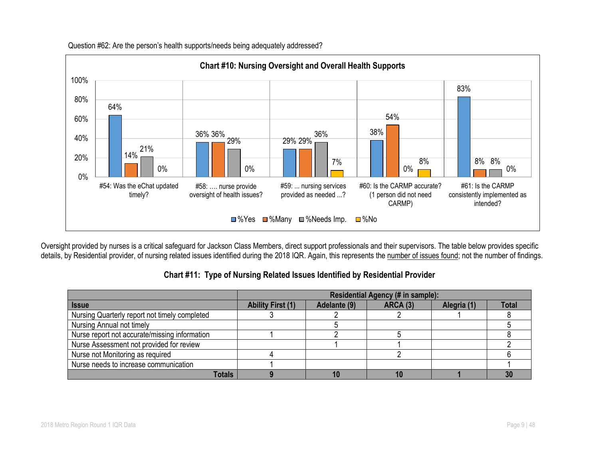

Question #62: Are the person's health supports/needs being adequately addressed?

Oversight provided by nurses is a critical safeguard for Jackson Class Members, direct support professionals and their supervisors. The table below provides specific details, by Residential provider, of nursing related issues identified during the 2018 IQR. Again, this represents the number of issues found; not the number of findings.

| Chart #11: Type of Nursing Related Issues Identified by Residential Provider |
|------------------------------------------------------------------------------|
|------------------------------------------------------------------------------|

|                                               | <b>Residential Agency (# in sample):</b> |              |          |             |       |  |
|-----------------------------------------------|------------------------------------------|--------------|----------|-------------|-------|--|
| <b>Issue</b>                                  | <b>Ability First (1)</b>                 | Adelante (9) | ARCA (3) | Alegria (1) | Total |  |
| Nursing Quarterly report not timely completed |                                          |              |          |             |       |  |
| Nursing Annual not timely                     |                                          |              |          |             |       |  |
| Nurse report not accurate/missing information |                                          |              |          |             |       |  |
| Nurse Assessment not provided for review      |                                          |              |          |             |       |  |
| Nurse not Monitoring as required              |                                          |              |          |             |       |  |
| Nurse needs to increase communication         |                                          |              |          |             |       |  |
| <b>Totals</b>                                 |                                          |              |          |             |       |  |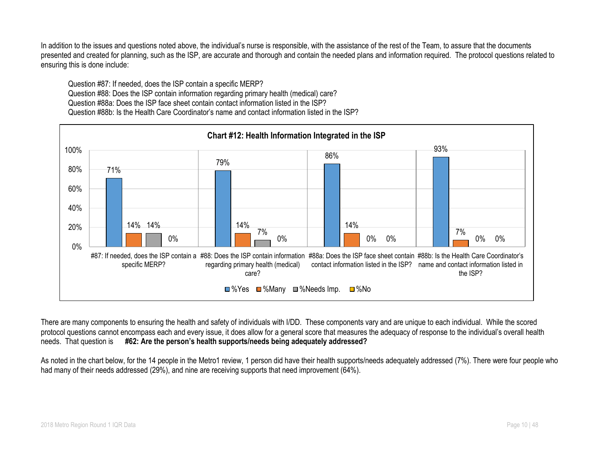In addition to the issues and questions noted above, the individual's nurse is responsible, with the assistance of the rest of the Team, to assure that the documents presented and created for planning, such as the ISP, are accurate and thorough and contain the needed plans and information required. The protocol questions related to ensuring this is done include:

Question #87: If needed, does the ISP contain a specific MERP? Question #88: Does the ISP contain information regarding primary health (medical) care? Question #88a: Does the ISP face sheet contain contact information listed in the ISP? Question #88b: Is the Health Care Coordinator's name and contact information listed in the ISP?



There are many components to ensuring the health and safety of individuals with I/DD. These components vary and are unique to each individual. While the scored protocol questions cannot encompass each and every issue, it does allow for a general score that measures the adequacy of response to the individual's overall health needs. That question is **#62: Are the person's health supports/needs being adequately addressed?**

As noted in the chart below, for the 14 people in the Metro1 review, 1 person did have their health supports/needs adequately addressed (7%). There were four people who had many of their needs addressed (29%), and nine are receiving supports that need improvement (64%).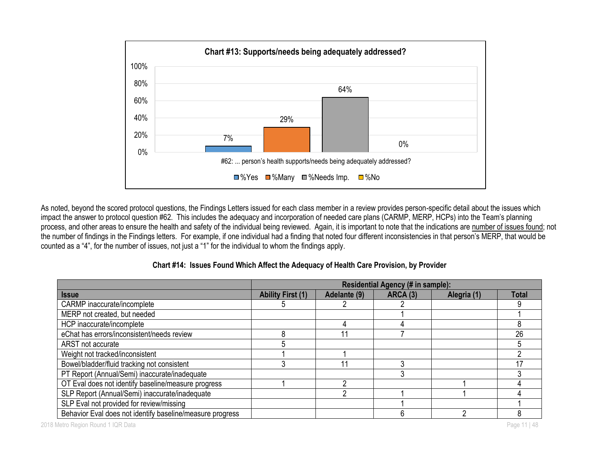

As noted, beyond the scored protocol questions, the Findings Letters issued for each class member in a review provides person-specific detail about the issues which impact the answer to protocol question #62. This includes the adequacy and incorporation of needed care plans (CARMP, MERP, HCPs) into the Team's planning process, and other areas to ensure the health and safety of the individual being reviewed. Again, it is important to note that the indications are number of issues found; not the number of findings in the Findings letters. For example, if one individual had a finding that noted four different inconsistencies in that person's MERP, that would be counted as a "4", for the number of issues, not just a "1" for the individual to whom the findings apply.

|                                                           | <b>Residential Agency (# in sample):</b> |              |          |             |              |
|-----------------------------------------------------------|------------------------------------------|--------------|----------|-------------|--------------|
| <b>Issue</b>                                              | <b>Ability First (1)</b>                 | Adelante (9) | ARCA (3) | Alegria (1) | <b>Total</b> |
| CARMP inaccurate/incomplete                               |                                          |              |          |             |              |
| MERP not created, but needed                              |                                          |              |          |             |              |
| HCP inaccurate/incomplete                                 |                                          |              |          |             |              |
| eChat has errors/inconsistent/needs review                |                                          |              |          |             | 26           |
| ARST not accurate                                         |                                          |              |          |             |              |
| Weight not tracked/inconsistent                           |                                          |              |          |             |              |
| Bowel/bladder/fluid tracking not consistent               |                                          |              |          |             |              |
| PT Report (Annual/Semi) inaccurate/inadequate             |                                          |              |          |             |              |
| OT Eval does not identify baseline/measure progress       |                                          |              |          |             |              |
| SLP Report (Annual/Semi) inaccurate/inadequate            |                                          |              |          |             |              |
| SLP Eval not provided for review/missing                  |                                          |              |          |             |              |
| Behavior Eval does not identify baseline/measure progress |                                          |              |          |             |              |

#### **Chart #14: Issues Found Which Affect the Adequacy of Health Care Provision, by Provider**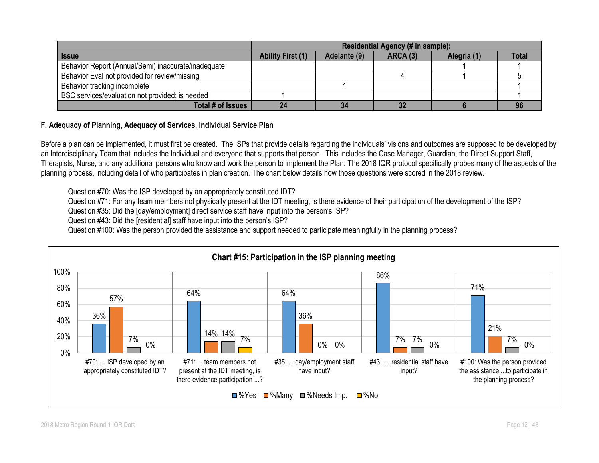|                                                     | Residential Agency (# in sample):                                                   |    |    |  |  |  |  |
|-----------------------------------------------------|-------------------------------------------------------------------------------------|----|----|--|--|--|--|
| <b>Issue</b>                                        | <b>Ability First (1)</b><br>Adelante (9)<br>ARCA (3)<br>Alegria (1)<br><b>Total</b> |    |    |  |  |  |  |
| Behavior Report (Annual/Semi) inaccurate/inadequate |                                                                                     |    |    |  |  |  |  |
| Behavior Eval not provided for review/missing       |                                                                                     |    |    |  |  |  |  |
| Behavior tracking incomplete                        |                                                                                     |    |    |  |  |  |  |
| BSC services/evaluation not provided; is needed     |                                                                                     |    |    |  |  |  |  |
| Total # of Issues                                   |                                                                                     | 34 | 22 |  |  |  |  |

#### **F. Adequacy of Planning, Adequacy of Services, Individual Service Plan**

Before a plan can be implemented, it must first be created. The ISPs that provide details regarding the individuals' visions and outcomes are supposed to be developed by an Interdisciplinary Team that includes the Individual and everyone that supports that person. This includes the Case Manager, Guardian, the Direct Support Staff, Therapists, Nurse, and any additional persons who know and work the person to implement the Plan. The 2018 IQR protocol specifically probes many of the aspects of the planning process, including detail of who participates in plan creation. The chart below details how those questions were scored in the 2018 review.

Question #70: Was the ISP developed by an appropriately constituted IDT?

Question #71: For any team members not physically present at the IDT meeting, is there evidence of their participation of the development of the ISP?

Question #35: Did the [day/employment] direct service staff have input into the person's ISP?

Question #43: Did the [residential] staff have input into the person's ISP?

Question #100: Was the person provided the assistance and support needed to participate meaningfully in the planning process?

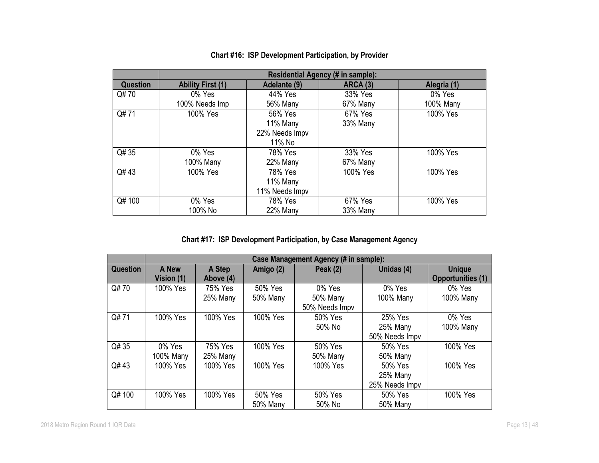|                 |                          | <b>Residential Agency (# in sample):</b> |                 |             |  |  |  |  |
|-----------------|--------------------------|------------------------------------------|-----------------|-------------|--|--|--|--|
| <b>Question</b> | <b>Ability First (1)</b> | Adelante (9)                             | <b>ARCA (3)</b> | Alegria (1) |  |  |  |  |
| Q#70            | 0% Yes                   | 44% Yes                                  | 33% Yes         | 0% Yes      |  |  |  |  |
|                 | 100% Needs Imp           | 56% Many                                 | 67% Many        | 100% Many   |  |  |  |  |
| Q#71            | 100% Yes                 | 56% Yes                                  | 67% Yes         | 100% Yes    |  |  |  |  |
|                 |                          | 11% Many                                 | 33% Many        |             |  |  |  |  |
|                 |                          | 22% Needs Impv                           |                 |             |  |  |  |  |
|                 |                          | 11% No                                   |                 |             |  |  |  |  |
| Q# 35           | 0% Yes                   | 78% Yes                                  | 33% Yes         | 100% Yes    |  |  |  |  |
|                 | 100% Many                | 22% Many                                 | 67% Many        |             |  |  |  |  |
| Q#43            | 100% Yes                 | 78% Yes                                  | 100% Yes        | 100% Yes    |  |  |  |  |
|                 |                          | 11% Many                                 |                 |             |  |  |  |  |
|                 |                          | 11% Needs Impv                           |                 |             |  |  |  |  |
| Q# 100          | 0% Yes                   | 78% Yes                                  | 67% Yes         | 100% Yes    |  |  |  |  |
|                 | 100% No                  | 22% Many                                 | 33% Many        |             |  |  |  |  |

# **Chart #16: ISP Development Participation, by Provider**

**Chart #17: ISP Development Participation, by Case Management Agency**

|          | Case Management Agency (# in sample): |                      |                     |                                     |                                                   |                                           |  |  |
|----------|---------------------------------------|----------------------|---------------------|-------------------------------------|---------------------------------------------------|-------------------------------------------|--|--|
| Question | A New<br>Vision (1)                   | A Step<br>Above (4)  | Amigo (2)           | <b>Peak (2)</b>                     | Unidas (4)                                        | <b>Unique</b><br><b>Opportunities (1)</b> |  |  |
| Q#70     | 100% Yes                              | 75% Yes<br>25% Many  | 50% Yes<br>50% Many | 0% Yes<br>50% Many                  | 0% Yes<br>100% Many                               | 0% Yes<br>100% Many                       |  |  |
| Q#71     | 100% Yes                              | 100% Yes             | 100% Yes            | 50% Needs Impv<br>50% Yes<br>50% No | 25% Yes<br>25% Many                               | 0% Yes<br>100% Many                       |  |  |
| Q# 35    | 0% Yes                                | 75% Yes              | 100% Yes            | 50% Yes                             | 50% Needs Impv<br>50% Yes                         | 100% Yes                                  |  |  |
| Q#43     | 100% Many<br>100% Yes                 | 25% Many<br>100% Yes | 100% Yes            | 50% Many<br>100% Yes                | 50% Many<br>50% Yes<br>25% Many<br>25% Needs Impv | 100% Yes                                  |  |  |
| Q# 100   | 100% Yes                              | 100% Yes             | 50% Yes<br>50% Many | 50% Yes<br>50% No                   | 50% Yes<br>50% Many                               | 100% Yes                                  |  |  |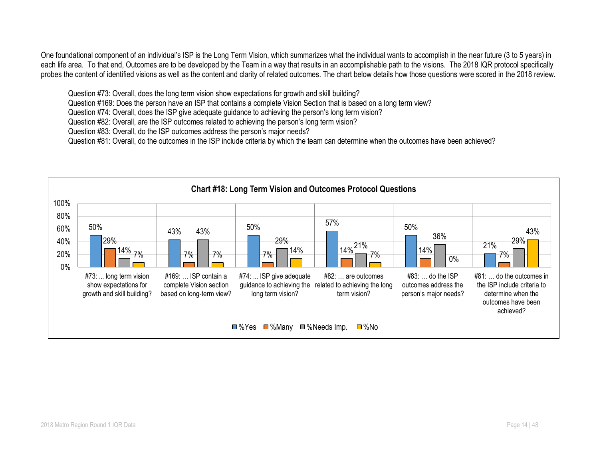One foundational component of an individual's ISP is the Long Term Vision, which summarizes what the individual wants to accomplish in the near future (3 to 5 years) in each life area. To that end, Outcomes are to be developed by the Team in a way that results in an accomplishable path to the visions. The 2018 IQR protocol specifically probes the content of identified visions as well as the content and clarity of related outcomes. The chart below details how those questions were scored in the 2018 review.

Question #73: Overall, does the long term vision show expectations for growth and skill building?

Question #169: Does the person have an ISP that contains a complete Vision Section that is based on a long term view?

Question #74: Overall, does the ISP give adequate guidance to achieving the person's long term vision?

Question #82: Overall, are the ISP outcomes related to achieving the person's long term vision?

Question #83: Overall, do the ISP outcomes address the person's major needs?

Question #81: Overall, do the outcomes in the ISP include criteria by which the team can determine when the outcomes have been achieved?

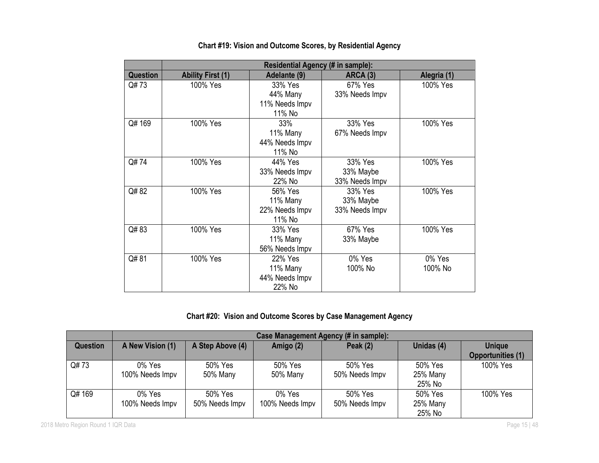|          | <b>Residential Agency (# in sample):</b> |                |                |             |  |  |  |  |
|----------|------------------------------------------|----------------|----------------|-------------|--|--|--|--|
| Question | <b>Ability First (1)</b>                 | Adelante (9)   | ARCA (3)       | Alegria (1) |  |  |  |  |
| Q#73     | 100% Yes                                 | 33% Yes        | 67% Yes        | 100% Yes    |  |  |  |  |
|          |                                          | 44% Many       | 33% Needs Impv |             |  |  |  |  |
|          |                                          | 11% Needs Impv |                |             |  |  |  |  |
|          |                                          | 11% No         |                |             |  |  |  |  |
| Q#169    | 100% Yes                                 | 33%            | 33% Yes        | 100% Yes    |  |  |  |  |
|          |                                          | 11% Many       | 67% Needs Impv |             |  |  |  |  |
|          |                                          | 44% Needs Impv |                |             |  |  |  |  |
|          |                                          | 11% No         |                |             |  |  |  |  |
| Q#74     | 100% Yes                                 | 44% Yes        | 33% Yes        | 100% Yes    |  |  |  |  |
|          |                                          | 33% Needs Impv | 33% Maybe      |             |  |  |  |  |
|          |                                          | 22% No         | 33% Needs Impv |             |  |  |  |  |
| Q#82     | 100% Yes                                 | 56% Yes        | 33% Yes        | 100% Yes    |  |  |  |  |
|          |                                          | 11% Many       | 33% Maybe      |             |  |  |  |  |
|          |                                          | 22% Needs Impv | 33% Needs Impv |             |  |  |  |  |
|          |                                          | 11% No         |                |             |  |  |  |  |
| Q#83     | 100% Yes                                 | 33% Yes        | 67% Yes        | 100% Yes    |  |  |  |  |
|          |                                          | 11% Many       | 33% Maybe      |             |  |  |  |  |
|          |                                          | 56% Needs Impv |                |             |  |  |  |  |
| Q#81     | 100% Yes                                 | 22% Yes        | 0% Yes         | 0% Yes      |  |  |  |  |
|          |                                          | 11% Many       | 100% No        | 100% No     |  |  |  |  |
|          |                                          | 44% Needs Impv |                |             |  |  |  |  |
|          |                                          | 22% No         |                |             |  |  |  |  |

# **Chart #19: Vision and Outcome Scores, by Residential Agency**

# **Chart #20: Vision and Outcome Scores by Case Management Agency**

|          | Case Management Agency (# in sample): |                           |                              |                           |                               |                                           |  |
|----------|---------------------------------------|---------------------------|------------------------------|---------------------------|-------------------------------|-------------------------------------------|--|
| Question | A New Vision (1)                      | A Step Above (4)          | Amigo (2)                    | Peak $(2)$                | Unidas (4)                    | <b>Unique</b><br><b>Opportunities (1)</b> |  |
| Q#73     | 0% Yes<br>100% Needs Impv             | 50% Yes<br>50% Many       | 50% Yes<br>50% Many          | 50% Yes<br>50% Needs Impv | 50% Yes<br>25% Many<br>25% No | 100% Yes                                  |  |
| Q# 169   | 0% Yes<br>100% Needs Impv             | 50% Yes<br>50% Needs Impv | $0\%$ Yes<br>100% Needs Impv | 50% Yes<br>50% Needs Impv | 50% Yes<br>25% Many<br>25% No | 100% Yes                                  |  |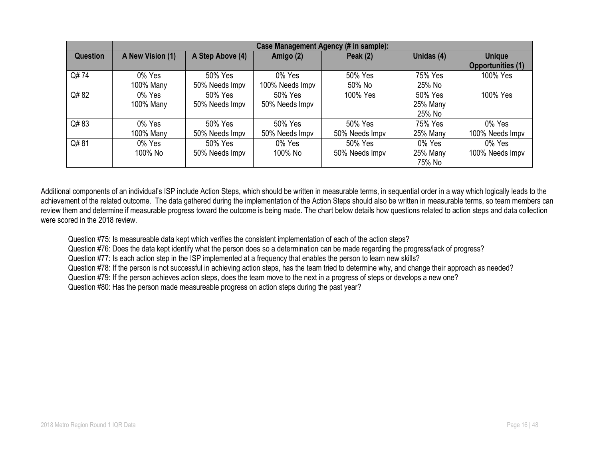|          | Case Management Agency (# in sample): |                  |                 |                |            |                          |  |
|----------|---------------------------------------|------------------|-----------------|----------------|------------|--------------------------|--|
| Question | A New Vision (1)                      | A Step Above (4) | Amigo (2)       | Peak (2)       | Unidas (4) | <b>Unique</b>            |  |
|          |                                       |                  |                 |                |            | <b>Opportunities (1)</b> |  |
| Q#74     | 0% Yes                                | 50% Yes          | 0% Yes          | 50% Yes        | 75% Yes    | 100% Yes                 |  |
|          | 100% Many                             | 50% Needs Impv   | 100% Needs Impv | 50% No         | 25% No     |                          |  |
| Q# 82    | 0% Yes                                | 50% Yes          | 50% Yes         | 100% Yes       | 50% Yes    | 100% Yes                 |  |
|          | 100% Many                             | 50% Needs Impv   | 50% Needs Impv  |                | 25% Many   |                          |  |
|          |                                       |                  |                 |                | 25% No     |                          |  |
| Q#83     | 0% Yes                                | 50% Yes          | 50% Yes         | 50% Yes        | 75% Yes    | 0% Yes                   |  |
|          | 100% Many                             | 50% Needs Impv   | 50% Needs Impv  | 50% Needs Impv | 25% Many   | 100% Needs Impv          |  |
| Q#81     | 0% Yes                                | 50% Yes          | 0% Yes          | 50% Yes        | 0% Yes     | 0% Yes                   |  |
|          | 100% No                               | 50% Needs Impv   | 100% No         | 50% Needs Impv | 25% Many   | 100% Needs Impv          |  |
|          |                                       |                  |                 |                | 75% No     |                          |  |

Additional components of an individual's ISP include Action Steps, which should be written in measurable terms, in sequential order in a way which logically leads to the achievement of the related outcome. The data gathered during the implementation of the Action Steps should also be written in measurable terms, so team members can review them and determine if measurable progress toward the outcome is being made. The chart below details how questions related to action steps and data collection were scored in the 2018 review.

Question #75: Is measureable data kept which verifies the consistent implementation of each of the action steps?

Question #76: Does the data kept identify what the person does so a determination can be made regarding the progress/lack of progress?

Question #77: Is each action step in the ISP implemented at a frequency that enables the person to learn new skills?

Question #78: If the person is not successful in achieving action steps, has the team tried to determine why, and change their approach as needed?

Question #79: If the person achieves action steps, does the team move to the next in a progress of steps or develops a new one?

Question #80: Has the person made measureable progress on action steps during the past year?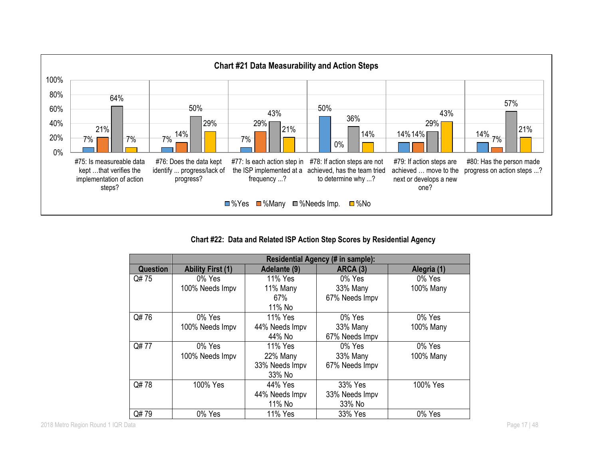

**Chart #22: Data and Related ISP Action Step Scores by Residential Agency**

|          |                          |                | Residential Agency (# in sample): |             |
|----------|--------------------------|----------------|-----------------------------------|-------------|
| Question | <b>Ability First (1)</b> | Adelante (9)   | <b>ARCA (3)</b>                   | Alegria (1) |
| Q# 75    | 0% Yes                   | 11% Yes        | 0% Yes                            | 0% Yes      |
|          | 100% Needs Impv          | 11% Many       | 33% Many                          | 100% Many   |
|          |                          | 67%            | 67% Needs Impv                    |             |
|          |                          | 11% No         |                                   |             |
| Q#76     | 0% Yes                   | 11% Yes        | $0\%$ Yes                         | 0% Yes      |
|          | 100% Needs Impv          | 44% Needs Impv | 33% Many                          | 100% Many   |
|          |                          | 44% No         | 67% Needs Impv                    |             |
| Q#77     | 0% Yes                   | 11% Yes        | 0% Yes                            | 0% Yes      |
|          | 100% Needs Impv          | 22% Many       | 33% Many                          | 100% Many   |
|          |                          | 33% Needs Impv | 67% Needs Impv                    |             |
|          |                          | 33% No         |                                   |             |
| Q#78     | 100% Yes                 | 44% Yes        | 33% Yes                           | 100% Yes    |
|          |                          | 44% Needs Impv | 33% Needs Impv                    |             |
|          |                          | 11% No         | 33% No                            |             |
| Q#79     | 0% Yes                   | 11% Yes        | 33% Yes                           | 0% Yes      |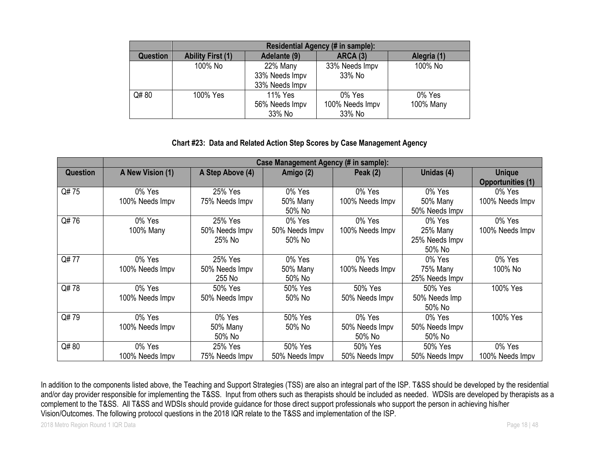|                 | Residential Agency (# in sample): |                |                 |             |  |  |  |
|-----------------|-----------------------------------|----------------|-----------------|-------------|--|--|--|
| <b>Question</b> | <b>Ability First (1)</b>          | Adelante (9)   | <b>ARCA (3)</b> | Alegria (1) |  |  |  |
|                 | 100% No                           | 22% Many       | 33% Needs Impv  | 100% No     |  |  |  |
|                 |                                   | 33% Needs Impv | 33% No          |             |  |  |  |
|                 |                                   | 33% Needs Impv |                 |             |  |  |  |
| Q#80            | 100% Yes                          | 11% Yes        | 0% Yes          | 0% Yes      |  |  |  |
|                 |                                   | 56% Needs Impv | 100% Needs Impv | 100% Many   |  |  |  |
|                 |                                   | 33% No         | 33% No          |             |  |  |  |

#### **Chart #23: Data and Related Action Step Scores by Case Management Agency**

|          | Case Management Agency (# in sample): |                                     |                                    |                                    |                                                |                                           |  |
|----------|---------------------------------------|-------------------------------------|------------------------------------|------------------------------------|------------------------------------------------|-------------------------------------------|--|
| Question | A New Vision (1)                      | A Step Above (4)                    | Amigo (2)                          | Peak $(2)$                         | Unidas (4)                                     | <b>Unique</b><br><b>Opportunities (1)</b> |  |
| Q#75     | 0% Yes<br>100% Needs Impv             | 25% Yes<br>75% Needs Impv           | 0% Yes<br>50% Many<br>50% No       | 0% Yes<br>100% Needs Impv          | 0% Yes<br>50% Many<br>50% Needs Impv           | 0% Yes<br>100% Needs Impv                 |  |
| Q#76     | 0% Yes<br>100% Many                   | 25% Yes<br>50% Needs Impv<br>25% No | 0% Yes<br>50% Needs Impv<br>50% No | 0% Yes<br>100% Needs Impv          | 0% Yes<br>25% Many<br>25% Needs Impv<br>50% No | 0% Yes<br>100% Needs Impv                 |  |
| Q#77     | 0% Yes<br>100% Needs Impv             | 25% Yes<br>50% Needs Impv<br>255 No | 0% Yes<br>50% Many<br>50% No       | 0% Yes<br>100% Needs Impv          | 0% Yes<br>75% Many<br>25% Needs Impv           | 0% Yes<br>100% No                         |  |
| Q#78     | 0% Yes<br>100% Needs Impv             | 50% Yes<br>50% Needs Impv           | 50% Yes<br>50% No                  | 50% Yes<br>50% Needs Impv          | 50% Yes<br>50% Needs Imp<br>50% No             | 100% Yes                                  |  |
| Q#79     | 0% Yes<br>100% Needs Impv             | 0% Yes<br>50% Many<br>50% No        | 50% Yes<br>50% No                  | 0% Yes<br>50% Needs Impv<br>50% No | 0% Yes<br>50% Needs Impv<br>50% No             | 100% Yes                                  |  |
| Q#80     | 0% Yes<br>100% Needs Impv             | 25% Yes<br>75% Needs Impv           | 50% Yes<br>50% Needs Impv          | 50% Yes<br>50% Needs Impv          | 50% Yes<br>50% Needs Impv                      | 0% Yes<br>100% Needs Impv                 |  |

In addition to the components listed above, the Teaching and Support Strategies (TSS) are also an integral part of the ISP. T&SS should be developed by the residential and/or day provider responsible for implementing the T&SS. Input from others such as therapists should be included as needed. WDSIs are developed by therapists as a complement to the T&SS. All T&SS and WDSIs should provide guidance for those direct support professionals who support the person in achieving his/her Vision/Outcomes. The following protocol questions in the 2018 IQR relate to the T&SS and implementation of the ISP.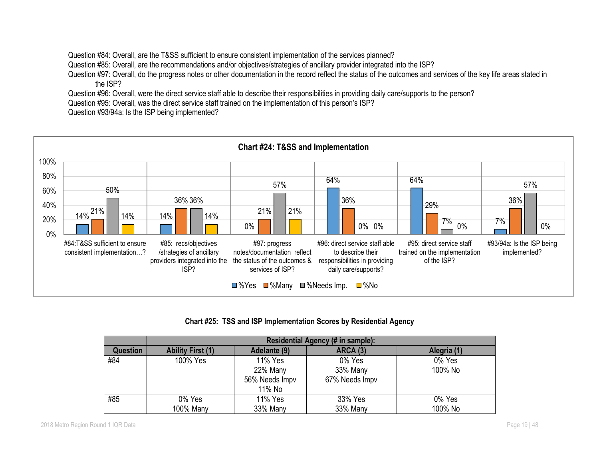Question #84: Overall, are the T&SS sufficient to ensure consistent implementation of the services planned?

Question #85: Overall, are the recommendations and/or objectives/strategies of ancillary provider integrated into the ISP?

Question #97: Overall, do the progress notes or other documentation in the record reflect the status of the outcomes and services of the key life areas stated in the ISP?

Question #96: Overall, were the direct service staff able to describe their responsibilities in providing daily care/supports to the person?

Question #95: Overall, was the direct service staff trained on the implementation of this person's ISP?

Question #93/94a: Is the ISP being implemented?



#### **Chart #25: TSS and ISP Implementation Scores by Residential Agency**

|                 | Residential Agency (# in sample): |                |                 |             |  |  |  |  |
|-----------------|-----------------------------------|----------------|-----------------|-------------|--|--|--|--|
| <b>Question</b> | <b>Ability First (1)</b>          | Adelante (9)   | <b>ARCA (3)</b> | Alegria (1) |  |  |  |  |
| #84             | 100% Yes                          | 11% Yes        | 0% Yes          | 0% Yes      |  |  |  |  |
|                 |                                   | 22% Many       | 33% Many        | 100% No     |  |  |  |  |
|                 |                                   | 56% Needs Impv | 67% Needs Impv  |             |  |  |  |  |
|                 |                                   | 11% No         |                 |             |  |  |  |  |
| #85             | 0% Yes                            | 11% Yes        | 33% Yes         | 0% Yes      |  |  |  |  |
|                 | 100% Many                         | 33% Many       | 33% Many        | 100% No     |  |  |  |  |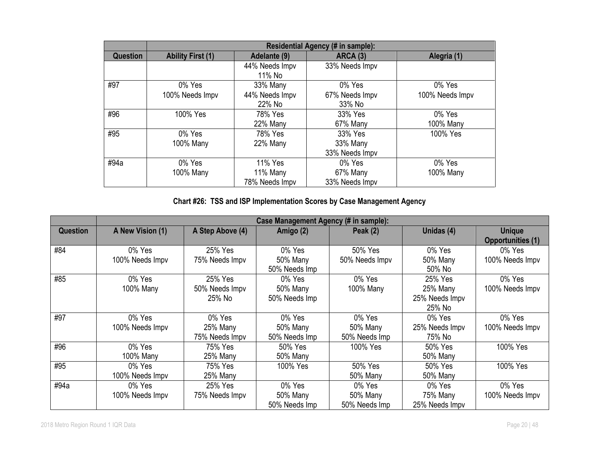|          | <b>Residential Agency (# in sample):</b> |                |                 |                 |  |  |  |
|----------|------------------------------------------|----------------|-----------------|-----------------|--|--|--|
| Question | <b>Ability First (1)</b>                 | Adelante (9)   | <b>ARCA (3)</b> | Alegria (1)     |  |  |  |
|          |                                          | 44% Needs Impv | 33% Needs Impv  |                 |  |  |  |
|          |                                          | 11% No         |                 |                 |  |  |  |
| #97      | 0% Yes                                   | 33% Many       | 0% Yes          | 0% Yes          |  |  |  |
|          | 100% Needs Impv                          | 44% Needs Impv | 67% Needs Impv  | 100% Needs Impv |  |  |  |
|          |                                          | 22% No         | 33% No          |                 |  |  |  |
| #96      | 100% Yes                                 | 78% Yes        | 33% Yes         | 0% Yes          |  |  |  |
|          |                                          | 22% Many       | 67% Many        | 100% Many       |  |  |  |
| #95      | 0% Yes                                   | 78% Yes        | 33% Yes         | 100% Yes        |  |  |  |
|          | 100% Many                                | 22% Many       | 33% Many        |                 |  |  |  |
|          |                                          |                | 33% Needs Impv  |                 |  |  |  |
| #94a     | 0% Yes                                   | 11% Yes        | 0% Yes          | 0% Yes          |  |  |  |
|          | 100% Many                                | 11% Many       | 67% Many        | 100% Many       |  |  |  |
|          |                                          | 78% Needs Impv | 33% Needs Impv  |                 |  |  |  |

# **Chart #26: TSS and ISP Implementation Scores by Case Management Agency**

|                 | Case Management Agency (# in sample): |                  |               |                 |                 |                          |  |
|-----------------|---------------------------------------|------------------|---------------|-----------------|-----------------|--------------------------|--|
| <b>Question</b> | A New Vision (1)                      | A Step Above (4) | Amigo (2)     | Peak $(2)$      | Unidas (4)      | <b>Unique</b>            |  |
|                 |                                       |                  |               |                 |                 | <b>Opportunities (1)</b> |  |
| #84             | 0% Yes                                | 25% Yes          | 0% Yes        | 50% Yes         | 0% Yes          | 0% Yes                   |  |
|                 | 100% Needs Impv                       | 75% Needs Impv   | 50% Many      | 50% Needs Impv  | 50% Many        | 100% Needs Impv          |  |
|                 |                                       |                  | 50% Needs Imp |                 | 50% No          |                          |  |
| #85             | 0% Yes                                | 25% Yes          | 0% Yes        | 0% Yes          | 25% Yes         | 0% Yes                   |  |
|                 | 100% Many                             | 50% Needs Impv   | 50% Many      | 100% Many       | 25% Many        | 100% Needs Impv          |  |
|                 |                                       | 25% No           | 50% Needs Imp |                 | 25% Needs Impv  |                          |  |
|                 |                                       |                  |               |                 | 25% No          |                          |  |
| #97             | 0% Yes                                | 0% Yes           | 0% Yes        | 0% Yes          | 0% Yes          | 0% Yes                   |  |
|                 | 100% Needs Impv                       | 25% Many         | 50% Many      | 50% Many        | 25% Needs Impv  | 100% Needs Impv          |  |
|                 |                                       | 75% Needs Impv   | 50% Needs Imp | 50% Needs Imp   | 75% No          |                          |  |
| #96             | 0% Yes                                | 75% Yes          | 50% Yes       | 100% Yes        | 50% Yes         | 100% Yes                 |  |
|                 | 100% Many                             | 25% Many         | 50% Many      |                 | 50% Many        |                          |  |
| #95             | 0% Yes                                | 75% Yes          | 100% Yes      | 50% Yes         | 50% Yes         | 100% Yes                 |  |
|                 | 100% Needs Impv                       | 25% Many         |               | <b>50% Many</b> | <b>50% Many</b> |                          |  |
| #94a            | 0% Yes                                | 25% Yes          | 0% Yes        | 0% Yes          | 0% Yes          | 0% Yes                   |  |
|                 | 100% Needs Impv                       | 75% Needs Impv   | 50% Many      | 50% Many        | 75% Many        | 100% Needs Impv          |  |
|                 |                                       |                  | 50% Needs Imp | 50% Needs Imp   | 25% Needs Impv  |                          |  |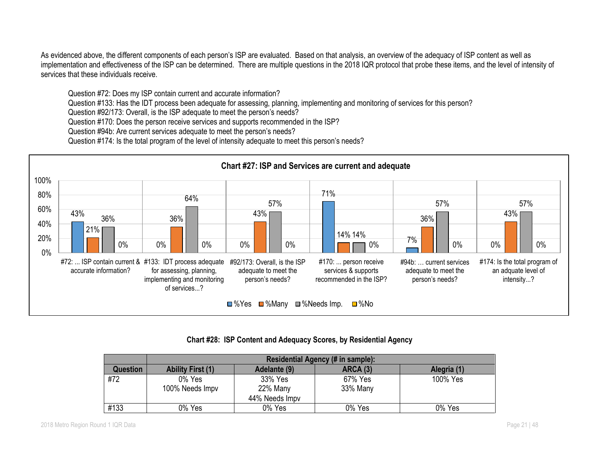As evidenced above, the different components of each person's ISP are evaluated. Based on that analysis, an overview of the adequacy of ISP content as well as implementation and effectiveness of the ISP can be determined. There are multiple questions in the 2018 IQR protocol that probe these items, and the level of intensity of services that these individuals receive.

Question #72: Does my ISP contain current and accurate information?

Question #133: Has the IDT process been adequate for assessing, planning, implementing and monitoring of services for this person?

Question #92/173: Overall, is the ISP adequate to meet the person's needs?

Question #170: Does the person receive services and supports recommended in the ISP?

Question #94b: Are current services adequate to meet the person's needs?

Question #174: Is the total program of the level of intensity adequate to meet this person's needs?



**Chart #28: ISP Content and Adequacy Scores, by Residential Agency**

|          | Residential Agency (# in sample):                                          |                |          |          |  |  |  |  |
|----------|----------------------------------------------------------------------------|----------------|----------|----------|--|--|--|--|
| Question | <b>ARCA (3)</b><br>Adelante (9)<br>Alegria (1)<br><b>Ability First (1)</b> |                |          |          |  |  |  |  |
| #72      | 0% Yes                                                                     | 33% Yes        | 67% Yes  | 100% Yes |  |  |  |  |
|          | 100% Needs Impv                                                            | 22% Many       | 33% Many |          |  |  |  |  |
|          |                                                                            | 44% Needs Impv |          |          |  |  |  |  |
| #133     | 0% Yes                                                                     | 0% Yes         | 0% Yes   | 0% Yes   |  |  |  |  |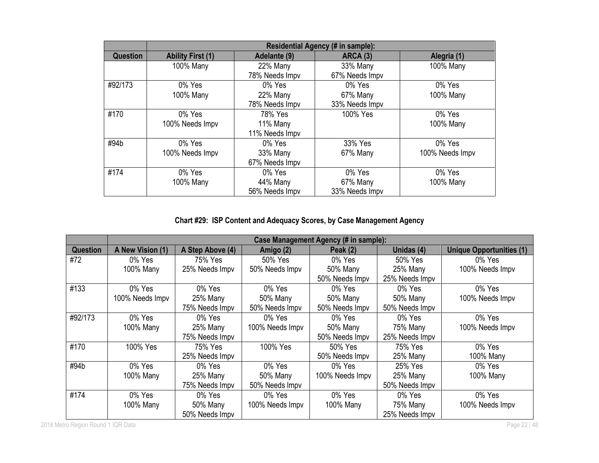|                 | Residential Agency (# in sample): |                |                |                 |  |  |  |
|-----------------|-----------------------------------|----------------|----------------|-----------------|--|--|--|
| <b>Question</b> | <b>Ability First (1)</b>          | Adelante (9)   | ARCA (3)       | Alegria (1)     |  |  |  |
|                 | 100% Many                         | 22% Many       | 33% Many       | 100% Many       |  |  |  |
|                 |                                   | 78% Needs Impv | 67% Needs Impv |                 |  |  |  |
| #92/173         | 0% Yes                            | 0% Yes         | 0% Yes         | 0% Yes          |  |  |  |
|                 | 100% Many                         | 22% Many       | 67% Many       | 100% Many       |  |  |  |
|                 |                                   | 78% Needs Impv | 33% Needs Impv |                 |  |  |  |
| #170            | 0% Yes                            | 78% Yes        | 100% Yes       | 0% Yes          |  |  |  |
|                 | 100% Needs Impv                   | 11% Many       |                | 100% Many       |  |  |  |
|                 |                                   | 11% Needs Impv |                |                 |  |  |  |
| #94b            | 0% Yes                            | 0% Yes         | 33% Yes        | 0% Yes          |  |  |  |
|                 | 100% Needs Impv                   | 33% Many       | 67% Many       | 100% Needs Impv |  |  |  |
|                 |                                   | 67% Needs Impv |                |                 |  |  |  |
| #174            | 0% Yes                            | 0% Yes         | 0% Yes         | 0% Yes          |  |  |  |
|                 | 100% Many                         | 44% Many       | 67% Many       | 100% Many       |  |  |  |
|                 |                                   | 56% Needs Impv | 33% Needs Impv |                 |  |  |  |

# **Chart #29: ISP Content and Adequacy Scores, by Case Management Agency**

|                 |                  | Case Management Agency (# in sample): |                 |                 |                |                                 |  |  |
|-----------------|------------------|---------------------------------------|-----------------|-----------------|----------------|---------------------------------|--|--|
| <b>Question</b> | A New Vision (1) | A Step Above (4)                      | Amigo (2)       | Peak $(2)$      | Unidas (4)     | <b>Unique Opportunities (1)</b> |  |  |
| #72             | 0% Yes           | 75% Yes                               | 50% Yes         | 0% Yes          | 50% Yes        | 0% Yes                          |  |  |
|                 | 100% Many        | 25% Needs Impv                        | 50% Needs Impv  | 50% Many        | 25% Many       | 100% Needs Impv                 |  |  |
|                 |                  |                                       |                 | 50% Needs Impv  | 25% Needs Impv |                                 |  |  |
| #133            | 0% Yes           | 0% Yes                                | 0% Yes          | 0% Yes          | 0% Yes         | 0% Yes                          |  |  |
|                 | 100% Needs Impv  | 25% Many                              | 50% Many        | 50% Many        | 50% Many       | 100% Needs Impv                 |  |  |
|                 |                  | 75% Needs Impv                        | 50% Needs Impv  | 50% Needs Impv  | 50% Needs Impv |                                 |  |  |
| #92/173         | 0% Yes           | 0% Yes                                | 0% Yes          | 0% Yes          | 0% Yes         | 0% Yes                          |  |  |
|                 | 100% Many        | 25% Many                              | 100% Needs Impv | 50% Many        | 75% Many       | 100% Needs Impv                 |  |  |
|                 |                  | 75% Needs Impv                        |                 | 50% Needs Impv  | 25% Needs Impv |                                 |  |  |
| #170            | 100% Yes         | 75% Yes                               | 100% Yes        | 50% Yes         | 75% Yes        | 0% Yes                          |  |  |
|                 |                  | 25% Needs Impv                        |                 | 50% Needs Impv  | 25% Many       | 100% Many                       |  |  |
| #94b            | 0% Yes           | 0% Yes                                | 0% Yes          | 0% Yes          | 25% Yes        | 0% Yes                          |  |  |
|                 | 100% Many        | 25% Many                              | 50% Many        | 100% Needs Impv | 25% Many       | 100% Many                       |  |  |
|                 |                  | 75% Needs Impv                        | 50% Needs Impv  |                 | 50% Needs Impv |                                 |  |  |
| #174            | 0% Yes           | 0% Yes                                | 0% Yes          | 0% Yes          | 0% Yes         | 0% Yes                          |  |  |
|                 | 100% Many        | 50% Many                              | 100% Needs Impv | 100% Many       | 75% Many       | 100% Needs Impv                 |  |  |
|                 |                  | 50% Needs Impv                        |                 |                 | 25% Needs Impv |                                 |  |  |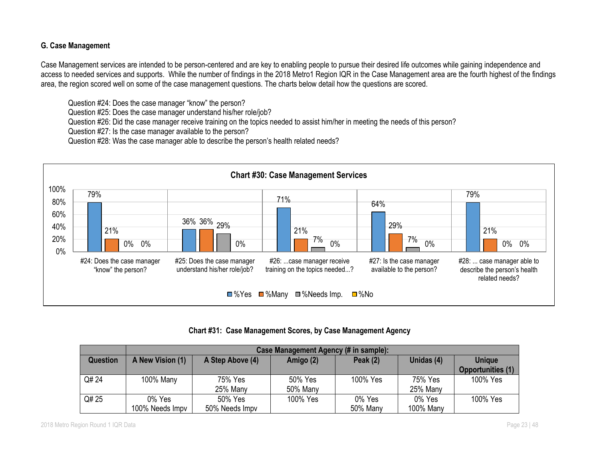## **G. Case Management**

Case Management services are intended to be person-centered and are key to enabling people to pursue their desired life outcomes while gaining independence and access to needed services and supports. While the number of findings in the 2018 Metro1 Region IQR in the Case Management area are the fourth highest of the findings area, the region scored well on some of the case management questions. The charts below detail how the questions are scored.

Question #24: Does the case manager "know" the person?

Question #25: Does the case manager understand his/her role/job?

Question #26: Did the case manager receive training on the topics needed to assist him/her in meeting the needs of this person?

Question #27: Is the case manager available to the person?

Question #28: Was the case manager able to describe the person's health related needs?



# **Chart #31: Case Management Scores, by Case Management Agency**

|                 | Case Management Agency (# in sample):                                         |                |                                           |          |           |          |  |  |
|-----------------|-------------------------------------------------------------------------------|----------------|-------------------------------------------|----------|-----------|----------|--|--|
| <b>Question</b> | Unidas (4)<br>Peak $(2)$<br>A New Vision (1)<br>A Step Above (4)<br>Amigo (2) |                | <b>Unique</b><br><b>Opportunities (1)</b> |          |           |          |  |  |
|                 |                                                                               |                |                                           |          |           |          |  |  |
| Q# 24           | 100% Many                                                                     | 75% Yes        | 50% Yes                                   | 100% Yes | 75% Yes   | 100% Yes |  |  |
|                 |                                                                               | 25% Many       | 50% Many                                  |          | 25% Many  |          |  |  |
| Q# 25           | 0% Yes                                                                        | 50% Yes        | 100% Yes                                  | 0% Yes   | 0% Yes    | 100% Yes |  |  |
|                 | 100% Needs Impv                                                               | 50% Needs Impv |                                           | 50% Many | 100% Many |          |  |  |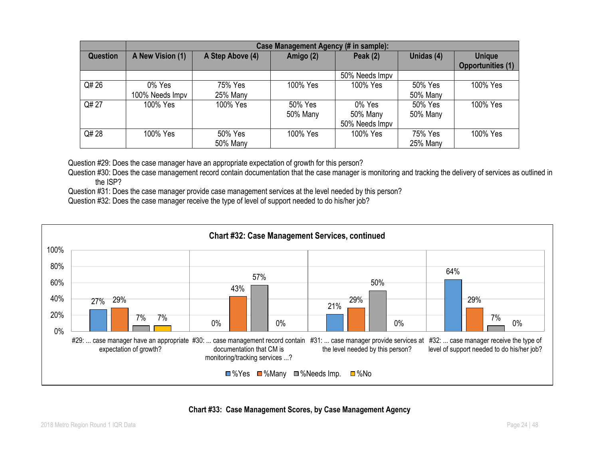|          | Case Management Agency (# in sample): |                     |                     |                                      |                     |                                           |  |  |
|----------|---------------------------------------|---------------------|---------------------|--------------------------------------|---------------------|-------------------------------------------|--|--|
| Question | A New Vision (1)                      | A Step Above (4)    | Amigo (2)           | Peak $(2)$                           | Unidas (4)          | <b>Unique</b><br><b>Opportunities (1)</b> |  |  |
|          |                                       |                     |                     | 50% Needs Impv                       |                     |                                           |  |  |
| Q# 26    | 0% Yes<br>100% Needs Impv             | 75% Yes<br>25% Many | 100% Yes            | 100% Yes                             | 50% Yes<br>50% Many | 100% Yes                                  |  |  |
| Q# 27    | 100% Yes                              | 100% Yes            | 50% Yes<br>50% Many | 0% Yes<br>50% Many<br>50% Needs Impv | 50% Yes<br>50% Many | 100% Yes                                  |  |  |
| Q# 28    | 100% Yes                              | 50% Yes<br>50% Many | 100% Yes            | 100% Yes                             | 75% Yes<br>25% Many | 100% Yes                                  |  |  |

Question #29: Does the case manager have an appropriate expectation of growth for this person?

Question #30: Does the case management record contain documentation that the case manager is monitoring and tracking the delivery of services as outlined in the ISP?

Question #31: Does the case manager provide case management services at the level needed by this person?

Question #32: Does the case manager receive the type of level of support needed to do his/her job?



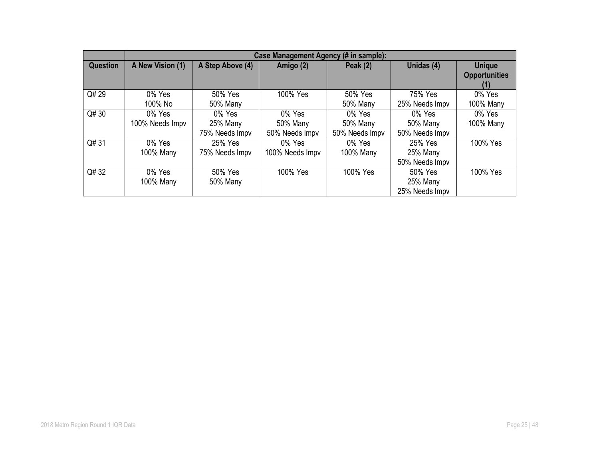|                 | Case Management Agency (# in sample): |                                      |                                      |                                      |                                       |                                              |  |  |
|-----------------|---------------------------------------|--------------------------------------|--------------------------------------|--------------------------------------|---------------------------------------|----------------------------------------------|--|--|
| <b>Question</b> | A New Vision (1)                      | A Step Above (4)                     | Amigo (2)                            | Peak $(2)$                           | Unidas (4)                            | <b>Unique</b><br><b>Opportunities</b><br>(1) |  |  |
| Q# 29           | 0% Yes<br>100% No                     | 50% Yes<br>50% Many                  | 100% Yes                             | 50% Yes<br><b>50% Many</b>           | 75% Yes<br>25% Needs Impv             | 0% Yes<br>100% Many                          |  |  |
| Q# 30           | 0% Yes<br>100% Needs Impv             | 0% Yes<br>25% Many<br>75% Needs Impv | 0% Yes<br>50% Many<br>50% Needs Impv | 0% Yes<br>50% Many<br>50% Needs Impv | 0% Yes<br>50% Many<br>50% Needs Impv  | 0% Yes<br>100% Many                          |  |  |
| Q#31            | 0% Yes<br>100% Many                   | 25% Yes<br>75% Needs Impv            | 0% Yes<br>100% Needs Impv            | 0% Yes<br>100% Many                  | 25% Yes<br>25% Many<br>50% Needs Impv | 100% Yes                                     |  |  |
| Q# 32           | 0% Yes<br>100% Many                   | 50% Yes<br>50% Many                  | 100% Yes                             | 100% Yes                             | 50% Yes<br>25% Many<br>25% Needs Impv | 100% Yes                                     |  |  |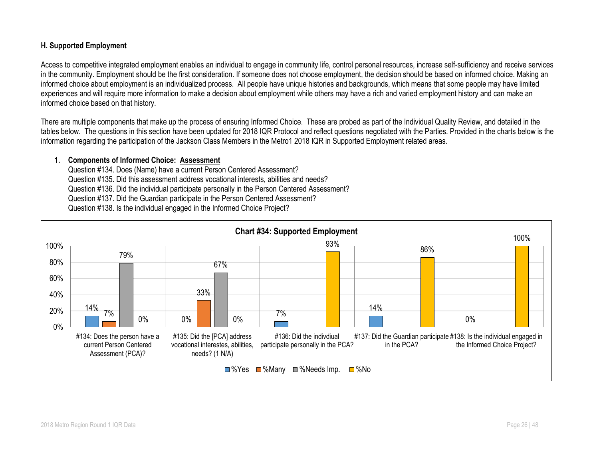#### **H. Supported Employment**

Access to competitive integrated employment enables an individual to engage in community life, control personal resources, increase self-sufficiency and receive services in the community. Employment should be the first consideration. If someone does not choose employment, the decision should be based on informed choice. Making an informed choice about employment is an individualized process. All people have unique histories and backgrounds, which means that some people may have limited experiences and will require more information to make a decision about employment while others may have a rich and varied employment history and can make an informed choice based on that history.

There are multiple components that make up the process of ensuring Informed Choice. These are probed as part of the Individual Quality Review, and detailed in the tables below. The questions in this section have been updated for 2018 IQR Protocol and reflect questions negotiated with the Parties. Provided in the charts below is the information regarding the participation of the Jackson Class Members in the Metro1 2018 IQR in Supported Employment related areas.

#### **1. Components of Informed Choice: Assessment**

Question #134. Does (Name) have a current Person Centered Assessment? Question #135. Did this assessment address vocational interests, abilities and needs? Question #136. Did the individual participate personally in the Person Centered Assessment? Question #137. Did the Guardian participate in the Person Centered Assessment? Question #138. Is the individual engaged in the Informed Choice Project?

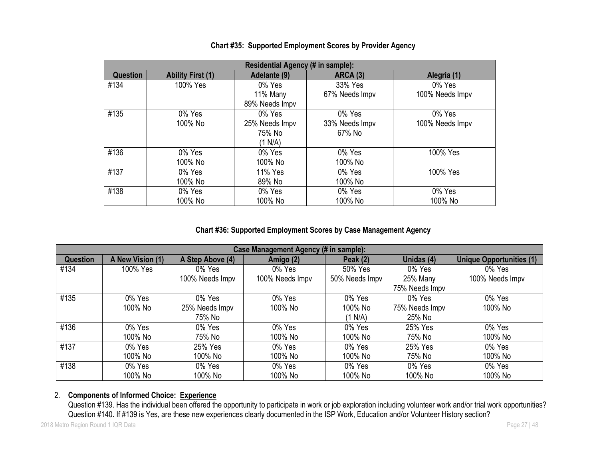|                 | Residential Agency (# in sample): |                |                 |                 |  |  |  |  |  |  |
|-----------------|-----------------------------------|----------------|-----------------|-----------------|--|--|--|--|--|--|
| <b>Question</b> | <b>Ability First (1)</b>          | Adelante (9)   | <b>ARCA (3)</b> | Alegria (1)     |  |  |  |  |  |  |
| #134            | 100% Yes                          | 0% Yes         | 33% Yes         | 0% Yes          |  |  |  |  |  |  |
|                 |                                   | 11% Many       | 67% Needs Impv  | 100% Needs Impv |  |  |  |  |  |  |
|                 |                                   | 89% Needs Impv |                 |                 |  |  |  |  |  |  |
| #135            | $0\%$ Yes                         | 0% Yes         | 0% Yes          | 0% Yes          |  |  |  |  |  |  |
|                 | 100% No                           | 25% Needs Impv | 33% Needs Impv  | 100% Needs Impv |  |  |  |  |  |  |
|                 |                                   | 75% No         | 67% No          |                 |  |  |  |  |  |  |
|                 |                                   | (1 N/A)        |                 |                 |  |  |  |  |  |  |
| #136            | 0% Yes                            | 0% Yes         | 0% Yes          | 100% Yes        |  |  |  |  |  |  |
|                 | 100% No                           | 100% No        | 100% No         |                 |  |  |  |  |  |  |
| #137            | 0% Yes                            | 11% Yes        | 0% Yes          | 100% Yes        |  |  |  |  |  |  |
|                 | 100% No                           | 89% No         | 100% No         |                 |  |  |  |  |  |  |
| #138            | 0% Yes                            | 0% Yes         | 0% Yes          | 0% Yes          |  |  |  |  |  |  |
|                 | 100% No                           | 100% No        | 100% No         | 100% No         |  |  |  |  |  |  |

## **Chart #35: Supported Employment Scores by Provider Agency**

### **Chart #36: Supported Employment Scores by Case Management Agency**

|                 | Case Management Agency (# in sample): |                  |                 |                |                |                                 |  |  |  |  |  |
|-----------------|---------------------------------------|------------------|-----------------|----------------|----------------|---------------------------------|--|--|--|--|--|
| <b>Question</b> | A New Vision (1)                      | A Step Above (4) | Amigo (2)       | Peak $(2)$     | Unidas (4)     | <b>Unique Opportunities (1)</b> |  |  |  |  |  |
| #134            | 100% Yes                              | $0\%$ Yes        | $0\%$ Yes       | 50% Yes        | 0% Yes         | 0% Yes                          |  |  |  |  |  |
|                 |                                       | 100% Needs Impv  | 100% Needs Impv | 50% Needs Impv | 25% Many       | 100% Needs Impv                 |  |  |  |  |  |
|                 |                                       |                  |                 |                | 75% Needs Impv |                                 |  |  |  |  |  |
| #135            | 0% Yes                                | 0% Yes           | 0% Yes          | 0% Yes         | 0% Yes         | 0% Yes                          |  |  |  |  |  |
|                 | 100% No                               | 25% Needs Impv   | 100% No         | 100% No        | 75% Needs Impv | 100% No                         |  |  |  |  |  |
|                 |                                       | 75% No           |                 | (1 N/A)        | 25% No         |                                 |  |  |  |  |  |
| #136            | 0% Yes                                | 0% Yes           | 0% Yes          | 0% Yes         | 25% Yes        | 0% Yes                          |  |  |  |  |  |
|                 | 100% No                               | 75% No           | 100% No         | 100% No        | 75% No         | 100% No                         |  |  |  |  |  |
| #137            | 0% Yes                                | 25% Yes          | 0% Yes          | 0% Yes         | 25% Yes        | 0% Yes                          |  |  |  |  |  |
|                 | 100% No                               | 100% No          | 100% No         | 100% No        | 75% No         | 100% No                         |  |  |  |  |  |
| #138            | 0% Yes                                | 0% Yes           | 0% Yes          | 0% Yes         | 0% Yes         | 0% Yes                          |  |  |  |  |  |
|                 | 100% No                               | 100% No          | 100% No         | 100% No        | 100% No        | 100% No                         |  |  |  |  |  |

# 2. **Components of Informed Choice: Experience**

Question #139. Has the individual been offered the opportunity to participate in work or job exploration including volunteer work and/or trial work opportunities? Question #140. If #139 is Yes, are these new experiences clearly documented in the ISP Work, Education and/or Volunteer History section?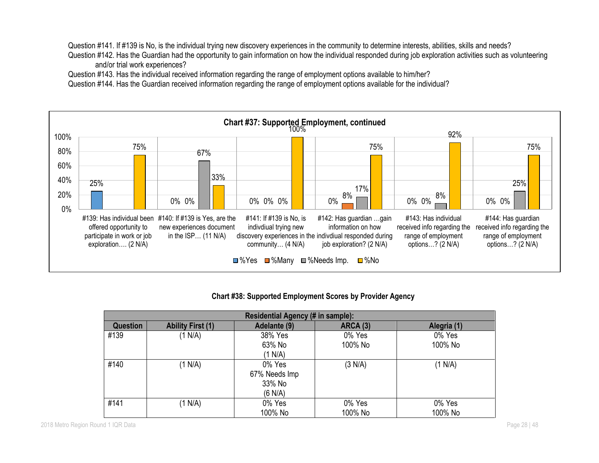Question #141. If #139 is No, is the individual trying new discovery experiences in the community to determine interests, abilities, skills and needs?

Question #142. Has the Guardian had the opportunity to gain information on how the individual responded during job exploration activities such as volunteering and/or trial work experiences?

Question #143. Has the individual received information regarding the range of employment options available to him/her?

Question #144. Has the Guardian received information regarding the range of employment options available for the individual?



#### **Chart #38: Supported Employment Scores by Provider Agency**

| Residential Agency (# in sample): |                          |                                              |                   |                   |  |  |  |  |  |
|-----------------------------------|--------------------------|----------------------------------------------|-------------------|-------------------|--|--|--|--|--|
| <b>Question</b>                   | <b>Ability First (1)</b> | Adelante (9)                                 | <b>ARCA (3)</b>   | Alegria (1)       |  |  |  |  |  |
| #139                              | (1 N/A)                  | 38% Yes<br>63% No<br>(1 N/A)                 | 0% Yes<br>100% No | 0% Yes<br>100% No |  |  |  |  |  |
| #140                              | (1 N/A)                  | 0% Yes<br>67% Needs Imp<br>33% No<br>(6 N/A) | (3 N/A)           | (1 N/A)           |  |  |  |  |  |
| #141                              | (1 N/A)                  | 0% Yes<br>100% No                            | 0% Yes<br>100% No | 0% Yes<br>100% No |  |  |  |  |  |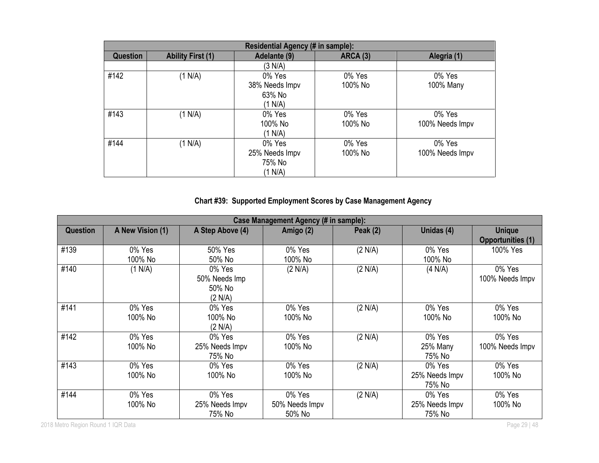|                 | Residential Agency (# in sample): |                |          |                 |  |  |  |  |  |
|-----------------|-----------------------------------|----------------|----------|-----------------|--|--|--|--|--|
| <b>Question</b> | <b>Ability First (1)</b>          | Adelante (9)   | ARCA (3) | Alegria (1)     |  |  |  |  |  |
|                 |                                   | (3 N/A)        |          |                 |  |  |  |  |  |
| #142            | (1 N/A)                           | 0% Yes         | 0% Yes   | 0% Yes          |  |  |  |  |  |
|                 |                                   | 38% Needs Impv | 100% No  | 100% Many       |  |  |  |  |  |
|                 |                                   | 63% No         |          |                 |  |  |  |  |  |
|                 |                                   | (1 N/A)        |          |                 |  |  |  |  |  |
| #143            | (1 N/A)                           | 0% Yes         | 0% Yes   | 0% Yes          |  |  |  |  |  |
|                 |                                   | 100% No        | 100% No  | 100% Needs Impv |  |  |  |  |  |
|                 |                                   | (1 N/A)        |          |                 |  |  |  |  |  |
| #144            | (1 N/A)                           | 0% Yes         | 0% Yes   | 0% Yes          |  |  |  |  |  |
|                 |                                   | 25% Needs Impv | 100% No  | 100% Needs Impv |  |  |  |  |  |
|                 |                                   | 75% No         |          |                 |  |  |  |  |  |
|                 |                                   | (1 N/A)        |          |                 |  |  |  |  |  |

# **Chart #39: Supported Employment Scores by Case Management Agency**

|                 | Case Management Agency (# in sample): |                                              |                                    |            |                                    |                                           |  |  |  |
|-----------------|---------------------------------------|----------------------------------------------|------------------------------------|------------|------------------------------------|-------------------------------------------|--|--|--|
| <b>Question</b> | A New Vision (1)                      | A Step Above (4)                             | Amigo (2)                          | Peak $(2)$ | Unidas (4)                         | <b>Unique</b><br><b>Opportunities (1)</b> |  |  |  |
| #139            | 0% Yes<br>100% No                     | 50% Yes<br>50% No                            | 0% Yes<br>100% No                  | (2 N/A)    | 0% Yes<br>100% No                  | 100% Yes                                  |  |  |  |
| #140            | (1 N/A)                               | 0% Yes<br>50% Needs Imp<br>50% No<br>(2 N/A) | (2 N/A)                            | (2 N/A)    | (4 N/A)                            | 0% Yes<br>100% Needs Impv                 |  |  |  |
| #141            | 0% Yes<br>100% No                     | 0% Yes<br>100% No<br>(2 N/A)                 | 0% Yes<br>100% No                  | (2 N/A)    | 0% Yes<br>100% No                  | 0% Yes<br>100% No                         |  |  |  |
| #142            | 0% Yes<br>100% No                     | 0% Yes<br>25% Needs Impv<br>75% No           | 0% Yes<br>100% No                  | (2 N/A)    | 0% Yes<br>25% Many<br>75% No       | 0% Yes<br>100% Needs Impv                 |  |  |  |
| #143            | 0% Yes<br>100% No                     | 0% Yes<br>100% No                            | 0% Yes<br>100% No                  | (2 N/A)    | 0% Yes<br>25% Needs Impv<br>75% No | 0% Yes<br>100% No                         |  |  |  |
| #144            | 0% Yes<br>100% No                     | 0% Yes<br>25% Needs Impv<br>75% No           | 0% Yes<br>50% Needs Impv<br>50% No | (2 N/A)    | 0% Yes<br>25% Needs Impv<br>75% No | 0% Yes<br>100% No                         |  |  |  |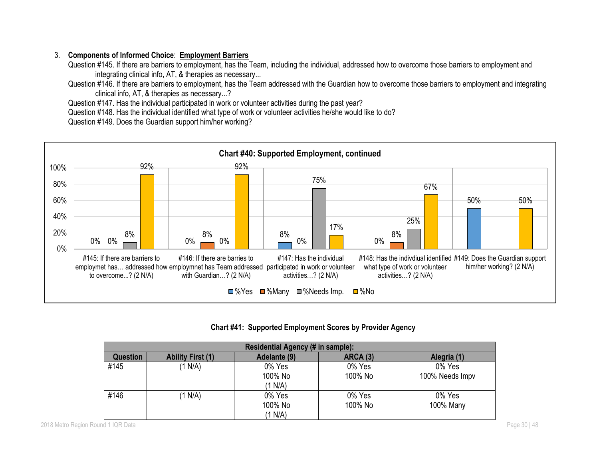# 3. **Components of Informed Choice**: **Employment Barriers**

Question #145. If there are barriers to employment, has the Team, including the individual, addressed how to overcome those barriers to employment and integrating clinical info, AT, & therapies as necessary...

Question #146. If there are barriers to employment, has the Team addressed with the Guardian how to overcome those barriers to employment and integrating clinical info, AT, & therapies as necessary...?

Question #147. Has the individual participated in work or volunteer activities during the past year?

Question #148. Has the individual identified what type of work or volunteer activities he/she would like to do?

Question #149. Does the Guardian support him/her working?



#### **Chart #41: Supported Employment Scores by Provider Agency**

| Residential Agency (# in sample): |                          |                              |                   |                           |
|-----------------------------------|--------------------------|------------------------------|-------------------|---------------------------|
| <b>Question</b>                   | <b>Ability First (1)</b> | Adelante (9)                 | <b>ARCA (3)</b>   | Alegria (1)               |
| #145                              | (1 N/A)                  | 0% Yes<br>100% No<br>(1 N/A) | 0% Yes<br>100% No | 0% Yes<br>100% Needs Impv |
| #146                              | (1 N/A)                  | 0% Yes<br>100% No<br>(1 N/A) | 0% Yes<br>100% No | 0% Yes<br>100% Many       |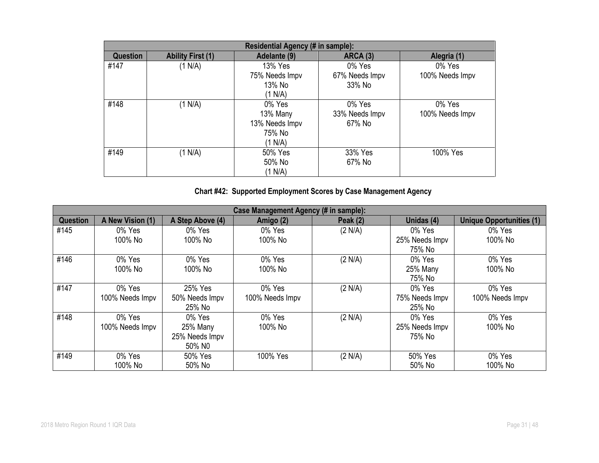| Residential Agency (# in sample): |                          |                                                           |                                    |                           |
|-----------------------------------|--------------------------|-----------------------------------------------------------|------------------------------------|---------------------------|
| <b>Question</b>                   | <b>Ability First (1)</b> | Adelante (9)                                              | <b>ARCA (3)</b>                    | Alegria (1)               |
| #147                              | (1 N/A)                  | 13% Yes<br>75% Needs Impv<br>13% No<br>(1 N/A)            | 0% Yes<br>67% Needs Impv<br>33% No | 0% Yes<br>100% Needs Impv |
| #148                              | (1 N/A)                  | 0% Yes<br>13% Many<br>13% Needs Impv<br>75% No<br>(1 N/A) | 0% Yes<br>33% Needs Impv<br>67% No | 0% Yes<br>100% Needs Impv |
| #149                              | (1 N/A)                  | 50% Yes<br>50% No<br>(1 N/A)                              | 33% Yes<br>67% No                  | 100% Yes                  |

# **Chart #42: Supported Employment Scores by Case Management Agency**

| Case Management Agency (# in sample): |                  |                  |                 |                 |                |                                 |
|---------------------------------------|------------------|------------------|-----------------|-----------------|----------------|---------------------------------|
| <b>Question</b>                       | A New Vision (1) | A Step Above (4) | Amigo (2)       | <b>Peak (2)</b> | Unidas (4)     | <b>Unique Opportunities (1)</b> |
| #145                                  | 0% Yes           | 0% Yes           | 0% Yes          | (2 N/A)         | 0% Yes         | 0% Yes                          |
|                                       | 100% No          | 100% No          | 100% No         |                 | 25% Needs Impv | 100% No                         |
|                                       |                  |                  |                 |                 | 75% No         |                                 |
| #146                                  | 0% Yes           | 0% Yes           | 0% Yes          | (2 N/A)         | 0% Yes         | 0% Yes                          |
|                                       | 100% No          | 100% No          | 100% No         |                 | 25% Many       | 100% No                         |
|                                       |                  |                  |                 |                 | 75% No         |                                 |
| #147                                  | 0% Yes           | 25% Yes          | 0% Yes          | (2 N/A)         | $0\%$ Yes      | 0% Yes                          |
|                                       | 100% Needs Impv  | 50% Needs Impv   | 100% Needs Impv |                 | 75% Needs Impv | 100% Needs Impv                 |
|                                       |                  | 25% No           |                 |                 | 25% No         |                                 |
| #148                                  | 0% Yes           | 0% Yes           | 0% Yes          | (2 N/A)         | 0% Yes         | 0% Yes                          |
|                                       | 100% Needs Impv  | 25% Many         | 100% No         |                 | 25% Needs Impv | 100% No                         |
|                                       |                  | 25% Needs Impv   |                 |                 | 75% No         |                                 |
|                                       |                  | 50% NO           |                 |                 |                |                                 |
| #149                                  | 0% Yes           | 50% Yes          | 100% Yes        | (2 N/A)         | 50% Yes        | 0% Yes                          |
|                                       | 100% No          | 50% No           |                 |                 | 50% No         | 100% No                         |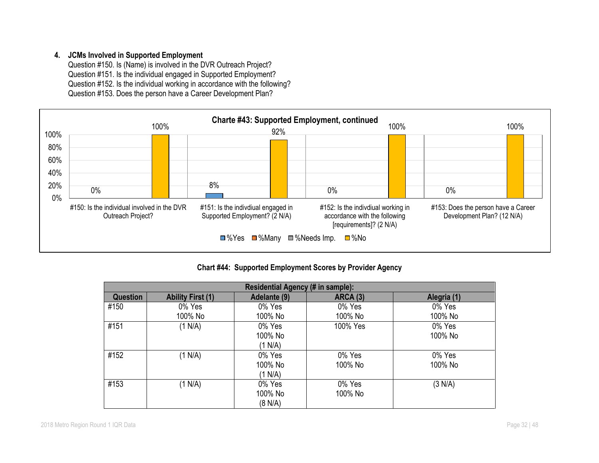#### **4. JCMs Involved in Supported Employment**

Question #150. Is (Name) is involved in the DVR Outreach Project? Question #151. Is the individual engaged in Supported Employment? Question #152. Is the individual working in accordance with the following? Question #153. Does the person have a Career Development Plan?



**Chart #44: Supported Employment Scores by Provider Agency**

| Residential Agency (# in sample): |                          |              |                 |             |
|-----------------------------------|--------------------------|--------------|-----------------|-------------|
| Question                          | <b>Ability First (1)</b> | Adelante (9) | <b>ARCA (3)</b> | Alegria (1) |
| #150                              | 0% Yes                   | 0% Yes       | 0% Yes          | 0% Yes      |
|                                   | 100% No                  | 100% No      | 100% No         | 100% No     |
| #151                              | (1 N/A)                  | 0% Yes       | 100% Yes        | 0% Yes      |
|                                   |                          | 100% No      |                 | 100% No     |
|                                   |                          | (1 N/A)      |                 |             |
| #152                              | (1 N/A)                  | 0% Yes       | 0% Yes          | 0% Yes      |
|                                   |                          | 100% No      | 100% No         | 100% No     |
|                                   |                          | (1 N/A)      |                 |             |
| #153                              | (1 N/A)                  | 0% Yes       | 0% Yes          | (3 N/A)     |
|                                   |                          | 100% No      | 100% No         |             |
|                                   |                          | (8 N/A)      |                 |             |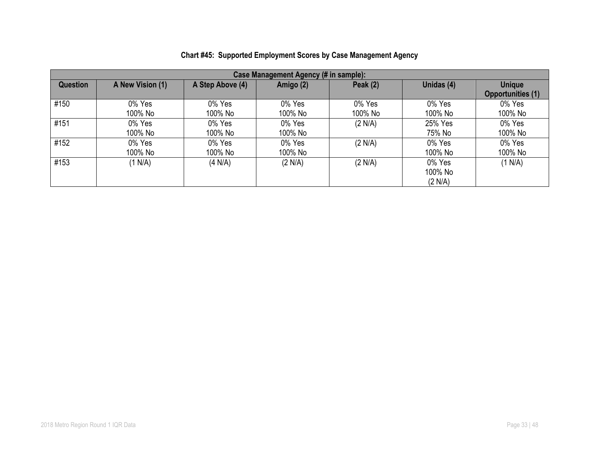| Case Management Agency (# in sample): |                   |                   |                   |                   |                              |                                           |
|---------------------------------------|-------------------|-------------------|-------------------|-------------------|------------------------------|-------------------------------------------|
| Question                              | A New Vision (1)  | A Step Above (4)  | Amigo (2)         | Peak $(2)$        | Unidas (4)                   | <b>Unique</b><br><b>Opportunities (1)</b> |
| #150                                  | 0% Yes<br>100% No | 0% Yes<br>100% No | 0% Yes<br>100% No | 0% Yes<br>100% No | 0% Yes<br>100% No            | 0% Yes<br>100% No                         |
| #151                                  | 0% Yes<br>100% No | 0% Yes<br>100% No | 0% Yes<br>100% No | (2 N/A)           | 25% Yes<br>75% No            | 0% Yes<br>100% No                         |
| #152                                  | 0% Yes<br>100% No | 0% Yes<br>100% No | 0% Yes<br>100% No | (2 N/A)           | 0% Yes<br>100% No            | 0% Yes<br>100% No                         |
| #153                                  | (1 N/A)           | (4 N/A)           | (2 N/A)           | (2 N/A)           | 0% Yes<br>100% No<br>(2 N/A) | (1 N/A)                                   |

# **Chart #45: Supported Employment Scores by Case Management Agency**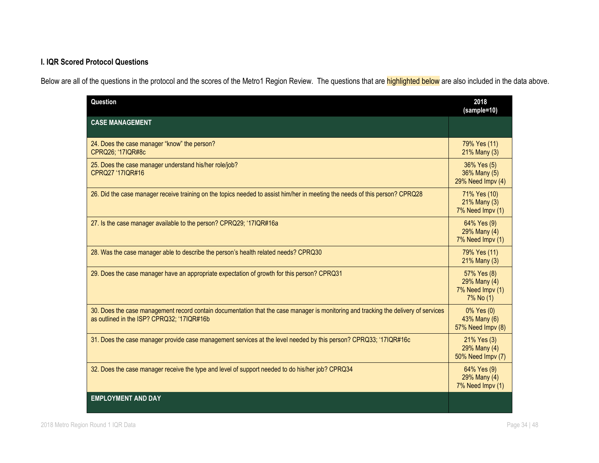# **I. IQR Scored Protocol Questions**

Below are all of the questions in the protocol and the scores of the Metro1 Region Review. The questions that are **highlighted below** are also included in the data above.

| Question                                                                                                                                                                          | 2018<br>(sample=10)                                          |
|-----------------------------------------------------------------------------------------------------------------------------------------------------------------------------------|--------------------------------------------------------------|
| <b>CASE MANAGEMENT</b>                                                                                                                                                            |                                                              |
| 24. Does the case manager "know" the person?<br>CPRQ26; '17IQR#8c                                                                                                                 | 79% Yes (11)<br>$21\%$ Many (3)                              |
| 25. Does the case manager understand his/her role/job?<br>CPRQ27 '17IQR#16                                                                                                        | 36% Yes (5)<br>36% Many (5)<br>29% Need Impv (4)             |
| 26. Did the case manager receive training on the topics needed to assist him/her in meeting the needs of this person? CPRQ28                                                      | 71% Yes (10)<br>$21\%$ Many (3)<br>7% Need Impv (1)          |
| 27. Is the case manager available to the person? CPRQ29; '17IQR#16a                                                                                                               | 64% Yes (9)<br>29% Many (4)<br>7% Need Impv (1)              |
| 28. Was the case manager able to describe the person's health related needs? CPRQ30                                                                                               | 79% Yes (11)<br>21% Many (3)                                 |
| 29. Does the case manager have an appropriate expectation of growth for this person? CPRQ31                                                                                       | 57% Yes (8)<br>29% Many (4)<br>7% Need Impv (1)<br>7% No (1) |
| 30. Does the case management record contain documentation that the case manager is monitoring and tracking the delivery of services<br>as outlined in the ISP? CPRQ32; '17IQR#16b | $0\%$ Yes $(0)$<br>43% Many (6)<br>57% Need Impv (8)         |
| 31. Does the case manager provide case management services at the level needed by this person? CPRQ33; '17IQR#16c                                                                 | 21% Yes (3)<br>29% Many (4)<br>50% Need Impv (7)             |
| 32. Does the case manager receive the type and level of support needed to do his/her job? CPRQ34                                                                                  | 64% Yes (9)<br>29% Many (4)<br>7% Need Impv (1)              |
| <b>EMPLOYMENT AND DAY</b>                                                                                                                                                         |                                                              |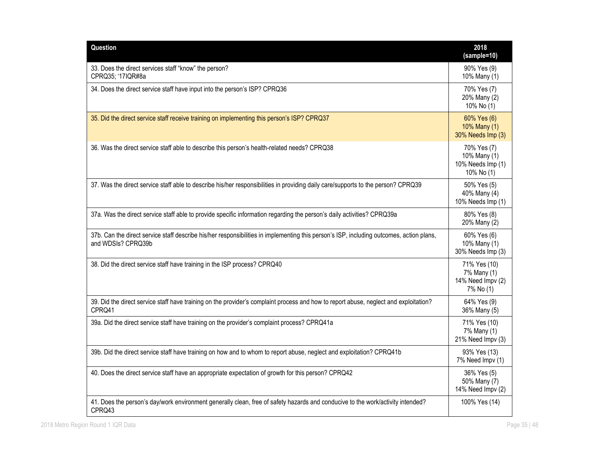| Question                                                                                                                                                       | 2018<br>(sample=10)                                            |
|----------------------------------------------------------------------------------------------------------------------------------------------------------------|----------------------------------------------------------------|
| 33. Does the direct services staff "know" the person?<br>CPRQ35; '17IQR#8a                                                                                     | 90% Yes (9)<br>10% Many (1)                                    |
| 34. Does the direct service staff have input into the person's ISP? CPRQ36                                                                                     | 70% Yes (7)<br>20% Many (2)<br>10% No (1)                      |
| 35. Did the direct service staff receive training on implementing this person's ISP? CPRQ37                                                                    | 60% Yes (6)<br>10% Many (1)<br>30% Needs Imp (3)               |
| 36. Was the direct service staff able to describe this person's health-related needs? CPRQ38                                                                   | 70% Yes (7)<br>10% Many (1)<br>10% Needs Imp (1)<br>10% No (1) |
| 37. Was the direct service staff able to describe his/her responsibilities in providing daily care/supports to the person? CPRQ39                              | 50% Yes (5)<br>40% Many (4)<br>10% Needs Imp (1)               |
| 37a. Was the direct service staff able to provide specific information regarding the person's daily activities? CPRQ39a                                        | 80% Yes (8)<br>20% Many (2)                                    |
| 37b. Can the direct service staff describe his/her responsibilities in implementing this person's ISP, including outcomes, action plans,<br>and WDSIs? CPRQ39b | 60% Yes (6)<br>10% Many (1)<br>30% Needs Imp (3)               |
| 38. Did the direct service staff have training in the ISP process? CPRQ40                                                                                      | 71% Yes (10)<br>7% Many (1)<br>14% Need Impv (2)<br>7% No (1)  |
| 39. Did the direct service staff have training on the provider's complaint process and how to report abuse, neglect and exploitation?<br>CPRQ41                | 64% Yes (9)<br>36% Many (5)                                    |
| 39a. Did the direct service staff have training on the provider's complaint process? CPRQ41a                                                                   | 71% Yes (10)<br>7% Many (1)<br>21% Need Impv (3)               |
| 39b. Did the direct service staff have training on how and to whom to report abuse, neglect and exploitation? CPRQ41b                                          | 93% Yes (13)<br>7% Need Impv (1)                               |
| 40. Does the direct service staff have an appropriate expectation of growth for this person? CPRQ42                                                            | 36% Yes (5)<br>50% Many (7)<br>14% Need Impv (2)               |
| 41. Does the person's day/work environment generally clean, free of safety hazards and conducive to the work/activity intended?<br>CPRQ43                      | 100% Yes (14)                                                  |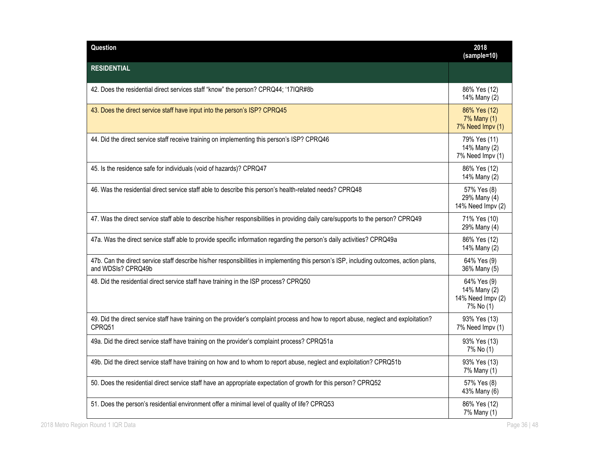| Question                                                                                                                                                       | 2018<br>(sample=10)                                           |
|----------------------------------------------------------------------------------------------------------------------------------------------------------------|---------------------------------------------------------------|
| <b>RESIDENTIAL</b>                                                                                                                                             |                                                               |
| 42. Does the residential direct services staff "know" the person? CPRQ44; '17IQR#8b                                                                            | 86% Yes (12)<br>14% Many (2)                                  |
| 43. Does the direct service staff have input into the person's ISP? CPRQ45                                                                                     | 86% Yes (12)<br>7% Many (1)<br>7% Need Impv (1)               |
| 44. Did the direct service staff receive training on implementing this person's ISP? CPRQ46                                                                    | 79% Yes (11)<br>14% Many (2)<br>7% Need Impv (1)              |
| 45. Is the residence safe for individuals (void of hazards)? CPRQ47                                                                                            | 86% Yes (12)<br>14% Many (2)                                  |
| 46. Was the residential direct service staff able to describe this person's health-related needs? CPRQ48                                                       | 57% Yes (8)<br>29% Many (4)<br>14% Need Impv (2)              |
| 47. Was the direct service staff able to describe his/her responsibilities in providing daily care/supports to the person? CPRQ49                              | 71% Yes (10)<br>29% Many (4)                                  |
| 47a. Was the direct service staff able to provide specific information regarding the person's daily activities? CPRQ49a                                        | 86% Yes (12)<br>14% Many (2)                                  |
| 47b. Can the direct service staff describe his/her responsibilities in implementing this person's ISP, including outcomes, action plans,<br>and WDSIs? CPRQ49b | 64% Yes (9)<br>36% Many (5)                                   |
| 48. Did the residential direct service staff have training in the ISP process? CPRQ50                                                                          | 64% Yes (9)<br>14% Many (2)<br>14% Need Impv (2)<br>7% No (1) |
| 49. Did the direct service staff have training on the provider's complaint process and how to report abuse, neglect and exploitation?<br>CPRQ51                | 93% Yes (13)<br>7% Need Impv (1)                              |
| 49a. Did the direct service staff have training on the provider's complaint process? CPRQ51a                                                                   | 93% Yes (13)<br>7% No (1)                                     |
| 49b. Did the direct service staff have training on how and to whom to report abuse, neglect and exploitation? CPRQ51b                                          | 93% Yes (13)<br>7% Many (1)                                   |
| 50. Does the residential direct service staff have an appropriate expectation of growth for this person? CPRQ52                                                | 57% Yes (8)<br>43% Many (6)                                   |
| 51. Does the person's residential environment offer a minimal level of quality of life? CPRQ53                                                                 | 86% Yes (12)<br>7% Many (1)                                   |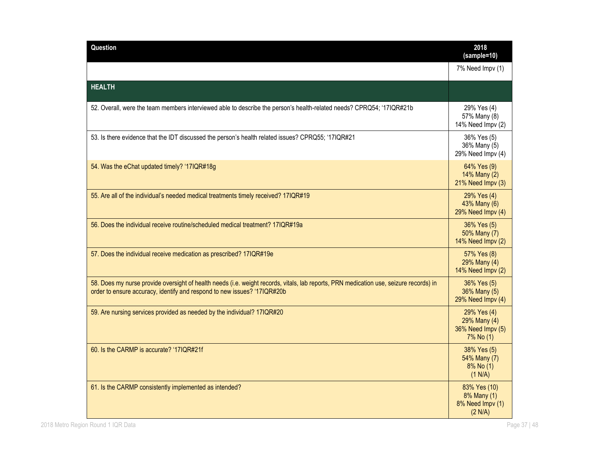| Question                                                                                                                                                                                                           | 2018<br>(sample=10)                                           |
|--------------------------------------------------------------------------------------------------------------------------------------------------------------------------------------------------------------------|---------------------------------------------------------------|
|                                                                                                                                                                                                                    | 7% Need Impv (1)                                              |
| <b>HEALTH</b>                                                                                                                                                                                                      |                                                               |
| 52. Overall, were the team members interviewed able to describe the person's health-related needs? CPRQ54; '17IQR#21b                                                                                              | 29% Yes (4)<br>57% Many (8)<br>14% Need Impv (2)              |
| 53. Is there evidence that the IDT discussed the person's health related issues? CPRQ55; '17IQR#21                                                                                                                 | 36% Yes (5)<br>36% Many (5)<br>29% Need Impv (4)              |
| 54. Was the eChat updated timely? '17IQR#18g                                                                                                                                                                       | 64% Yes (9)<br>14% Many (2)<br>21% Need Impv (3)              |
| 55. Are all of the individual's needed medical treatments timely received? 17IQR#19                                                                                                                                | 29% Yes (4)<br>43% Many (6)<br>29% Need Impv (4)              |
| 56. Does the individual receive routine/scheduled medical treatment? 17IQR#19a                                                                                                                                     | 36% Yes (5)<br>50% Many (7)<br>14% Need Impv (2)              |
| 57. Does the individual receive medication as prescribed? 17IQR#19e                                                                                                                                                | 57% Yes (8)<br>29% Many (4)<br>14% Need Impv (2)              |
| 58. Does my nurse provide oversight of health needs (i.e. weight records, vitals, lab reports, PRN medication use, seizure records) in<br>order to ensure accuracy, identify and respond to new issues? '17IQR#20b | 36% Yes (5)<br>36% Many (5)<br>29% Need Impv (4)              |
| 59. Are nursing services provided as needed by the individual? 17IQR#20                                                                                                                                            | 29% Yes (4)<br>29% Many (4)<br>36% Need Impv (5)<br>7% No (1) |
| 60. Is the CARMP is accurate? '17IQR#21f                                                                                                                                                                           | 38% Yes (5)<br>54% Many (7)<br>8% No (1)<br>(1 N/A)           |
| 61. Is the CARMP consistently implemented as intended?                                                                                                                                                             | 83% Yes (10)<br>8% Many (1)<br>8% Need Impv (1)<br>(2 N/A)    |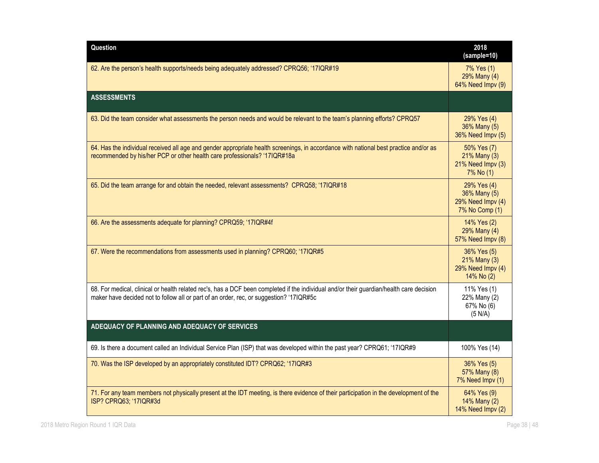| Question                                                                                                                                                                                                                            | 2018<br>(sample=10)                                                |
|-------------------------------------------------------------------------------------------------------------------------------------------------------------------------------------------------------------------------------------|--------------------------------------------------------------------|
| 62. Are the person's health supports/needs being adequately addressed? CPRQ56; '17IQR#19                                                                                                                                            | 7% Yes (1)<br>29% Many (4)<br>64% Need Impv (9)                    |
| <b>ASSESSMENTS</b>                                                                                                                                                                                                                  |                                                                    |
| 63. Did the team consider what assessments the person needs and would be relevant to the team's planning efforts? CPRQ57                                                                                                            | 29% Yes (4)<br>36% Many (5)<br>36% Need Impv (5)                   |
| 64. Has the individual received all age and gender appropriate health screenings, in accordance with national best practice and/or as<br>recommended by his/her PCP or other health care professionals? '17IQR#18a                  | 50% Yes (7)<br>21% Many (3)<br>21% Need Impv (3)<br>7% No (1)      |
| 65. Did the team arrange for and obtain the needed, relevant assessments? CPRQ58; '17IQR#18                                                                                                                                         | 29% Yes (4)<br>36% Many (5)<br>29% Need Impv (4)<br>7% No Comp (1) |
| 66. Are the assessments adequate for planning? CPRQ59; '17IQR#4f                                                                                                                                                                    | 14% Yes (2)<br>29% Many (4)<br>57% Need Impv (8)                   |
| 67. Were the recommendations from assessments used in planning? CPRQ60; '17IQR#5                                                                                                                                                    | 36% Yes (5)<br>21% Many (3)<br>29% Need Impv (4)<br>14% No (2)     |
| 68. For medical, clinical or health related rec's, has a DCF been completed if the individual and/or their guardian/health care decision<br>maker have decided not to follow all or part of an order, rec, or suggestion? '17IQR#5c | 11% Yes (1)<br>22% Many (2)<br>67% No (6)<br>(5 N/A)               |
| ADEQUACY OF PLANNING AND ADEQUACY OF SERVICES                                                                                                                                                                                       |                                                                    |
| 69. Is there a document called an Individual Service Plan (ISP) that was developed within the past year? CPRQ61; '17IQR#9                                                                                                           | 100% Yes (14)                                                      |
| 70. Was the ISP developed by an appropriately constituted IDT? CPRQ62; '17IQR#3                                                                                                                                                     | 36% Yes (5)<br>57% Many (8)<br>7% Need Impv (1)                    |
| 71. For any team members not physically present at the IDT meeting, is there evidence of their participation in the development of the<br>ISP? CPRQ63; '17IQR#3d                                                                    | 64% Yes (9)<br>14% Many (2)<br>14% Need Impv (2)                   |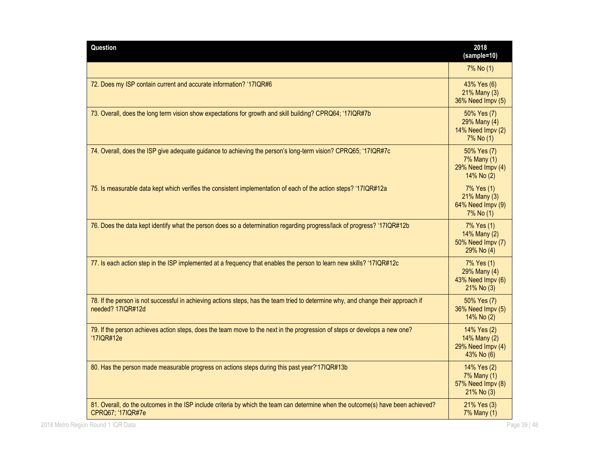| Question                                                                                                                                               | 2018<br>(sample=10)                                            |
|--------------------------------------------------------------------------------------------------------------------------------------------------------|----------------------------------------------------------------|
|                                                                                                                                                        | 7% No (1)                                                      |
| 72. Does my ISP contain current and accurate information? '17IQR#6                                                                                     | 43% Yes (6)<br>21% Many (3)<br>36% Need Impv (5)               |
| 73. Overall, does the long term vision show expectations for growth and skill building? CPRQ64; '17IQR#7b                                              | 50% Yes (7)<br>29% Many (4)<br>14% Need Impv (2)<br>7% No (1)  |
| 74. Overall, does the ISP give adequate guidance to achieving the person's long-term vision? CPRQ65; '17IQR#7c                                         | 50% Yes (7)<br>7% Many (1)<br>29% Need Impv (4)<br>14% No (2)  |
| 75. Is measurable data kept which verifies the consistent implementation of each of the action steps? '17IQR#12a                                       | 7% Yes (1)<br>21% Many (3)<br>64% Need Impv (9)<br>7% No (1)   |
| 76. Does the data kept identify what the person does so a determination regarding progress/lack of progress? '17IQR#12b                                | 7% Yes (1)<br>14% Many (2)<br>50% Need Impv (7)<br>29% No (4)  |
| 77. Is each action step in the ISP implemented at a frequency that enables the person to learn new skills? '17IQR#12c                                  | 7% Yes (1)<br>29% Many (4)<br>43% Need Impv (6)<br>21% No (3)  |
| 78. If the person is not successful in achieving actions steps, has the team tried to determine why, and change their approach if<br>needed? 17IQR#12d | 50% Yes (7)<br>36% Need Impv (5)<br>14% No (2)                 |
| 79. If the person achieves action steps, does the team move to the next in the progression of steps or develops a new one?<br>'17IQR#12e               | 14% Yes (2)<br>14% Many (2)<br>29% Need Impv (4)<br>43% No (6) |
| 80. Has the person made measurable progress on actions steps during this past year?'17IQR#13b                                                          | 14% Yes (2)<br>7% Many (1)<br>57% Need Impv (8)<br>21% No (3)  |
| 81. Overall, do the outcomes in the ISP include criteria by which the team can determine when the outcome(s) have been achieved?<br>CPRQ67; '17IQR#7e  | 21% Yes (3)<br>7% Many (1)                                     |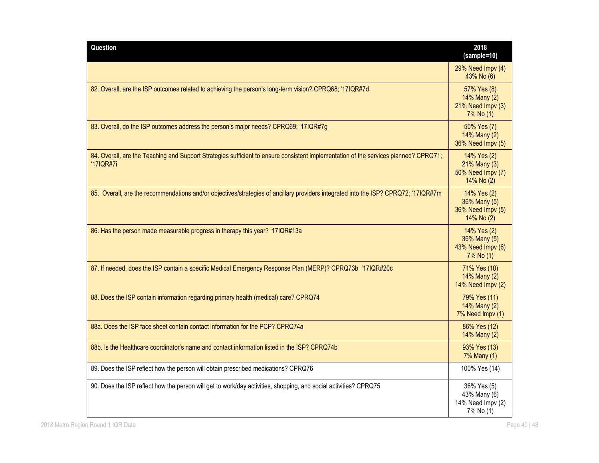| Question                                                                                                                                          | 2018<br>(sample=10)                                            |
|---------------------------------------------------------------------------------------------------------------------------------------------------|----------------------------------------------------------------|
|                                                                                                                                                   | 29% Need Impv (4)<br>43% No (6)                                |
| 82. Overall, are the ISP outcomes related to achieving the person's long-term vision? CPRQ68; '17IQR#7d                                           | 57% Yes (8)<br>14% Many (2)<br>21% Need Impv (3)<br>7% No (1)  |
| 83. Overall, do the ISP outcomes address the person's major needs? CPRQ69; '17IQR#7g                                                              | 50% Yes (7)<br>14% Many (2)<br>36% Need Impv (5)               |
| 84. Overall, are the Teaching and Support Strategies sufficient to ensure consistent implementation of the services planned? CPRQ71;<br>'17IQR#7i | 14% Yes (2)<br>21% Many (3)<br>50% Need Impv (7)<br>14% No (2) |
| 85. Overall, are the recommendations and/or objectives/strategies of ancillary providers integrated into the ISP? CPRQ72; '17IQR#7m               | 14% Yes (2)<br>36% Many (5)<br>36% Need Impv (5)<br>14% No (2) |
| 86. Has the person made measurable progress in therapy this year? '17IQR#13a                                                                      | 14% Yes (2)<br>36% Many (5)<br>43% Need Impv (6)<br>7% No (1)  |
| 87. If needed, does the ISP contain a specific Medical Emergency Response Plan (MERP)? CPRQ73b '17IQR#20c                                         | 71% Yes (10)<br>14% Many (2)<br>14% Need Impv (2)              |
| 88. Does the ISP contain information regarding primary health (medical) care? CPRQ74                                                              | 79% Yes (11)<br>14% Many (2)<br>7% Need Impv (1)               |
| 88a. Does the ISP face sheet contain contact information for the PCP? CPRQ74a                                                                     | 86% Yes (12)<br>14% Many (2)                                   |
| 88b. Is the Healthcare coordinator's name and contact information listed in the ISP? CPRQ74b                                                      | 93% Yes (13)<br>7% Many (1)                                    |
| 89. Does the ISP reflect how the person will obtain prescribed medications? CPRQ76                                                                | 100% Yes (14)                                                  |
| 90. Does the ISP reflect how the person will get to work/day activities, shopping, and social activities? CPRQ75                                  | 36% Yes (5)<br>43% Many (6)<br>14% Need Impv (2)<br>7% No (1)  |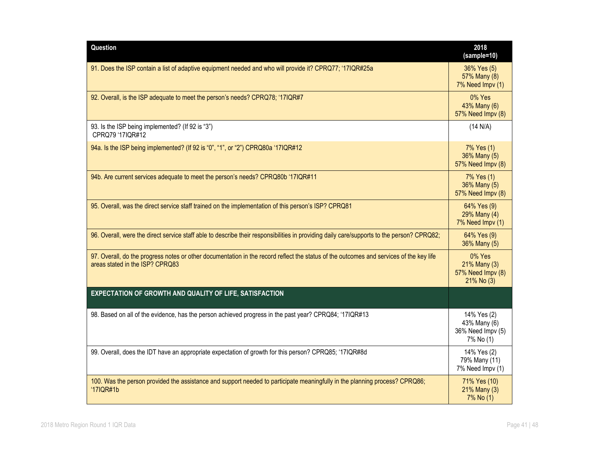| Question                                                                                                                                                                   | 2018<br>(sample=10)                                           |
|----------------------------------------------------------------------------------------------------------------------------------------------------------------------------|---------------------------------------------------------------|
| 91. Does the ISP contain a list of adaptive equipment needed and who will provide it? CPRQ77; '17IQR#25a                                                                   | 36% Yes (5)<br>57% Many (8)<br>7% Need Impv (1)               |
| 92. Overall, is the ISP adequate to meet the person's needs? CPRQ78; '17IQR#7                                                                                              | 0% Yes<br>43% Many (6)<br>57% Need Impv (8)                   |
| 93. Is the ISP being implemented? (If 92 is "3")<br>CPRQ79 '17IQR#12                                                                                                       | (14 N/A)                                                      |
| 94a. Is the ISP being implemented? (If 92 is "0", "1", or "2") CPRQ80a '17IQR#12                                                                                           | 7% Yes (1)<br>36% Many (5)<br>57% Need Impv (8)               |
| 94b. Are current services adequate to meet the person's needs? CPRQ80b '17IQR#11                                                                                           | 7% Yes (1)<br>36% Many (5)<br>57% Need Impv (8)               |
| 95. Overall, was the direct service staff trained on the implementation of this person's ISP? CPRQ81                                                                       | 64% Yes (9)<br>29% Many (4)<br>7% Need Impv (1)               |
| 96. Overall, were the direct service staff able to describe their responsibilities in providing daily care/supports to the person? CPRQ82;                                 | 64% Yes (9)<br>36% Many (5)                                   |
| 97. Overall, do the progress notes or other documentation in the record reflect the status of the outcomes and services of the key life<br>areas stated in the ISP? CPRQ83 | 0% Yes<br>21% Many (3)<br>57% Need Impv (8)<br>21% No (3)     |
| EXPECTATION OF GROWTH AND QUALITY OF LIFE, SATISFACTION                                                                                                                    |                                                               |
| 98. Based on all of the evidence, has the person achieved progress in the past year? CPRQ84; '17IQR#13                                                                     | 14% Yes (2)<br>43% Many (6)<br>36% Need Impv (5)<br>7% No (1) |
| 99. Overall, does the IDT have an appropriate expectation of growth for this person? CPRQ85; '17IQR#8d                                                                     | 14% Yes (2)<br>79% Many (11)<br>7% Need Impv (1)              |
| 100. Was the person provided the assistance and support needed to participate meaningfully in the planning process? CPRQ86;<br>'17IQR#1b                                   | 71% Yes (10)<br>21% Many (3)<br>7% No (1)                     |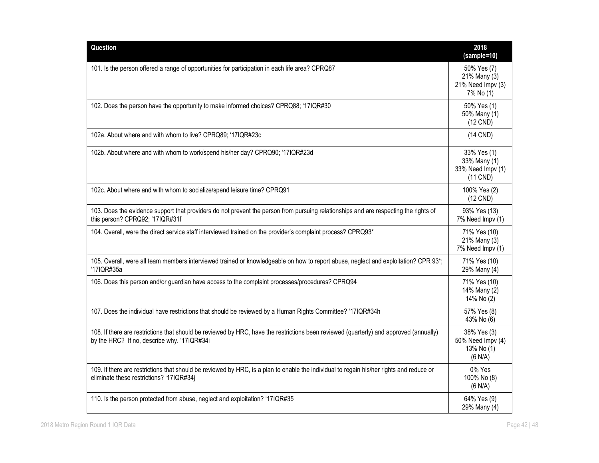| Question                                                                                                                                                                              | 2018<br>(sample=10)                                            |
|---------------------------------------------------------------------------------------------------------------------------------------------------------------------------------------|----------------------------------------------------------------|
| 101. Is the person offered a range of opportunities for participation in each life area? CPRQ87                                                                                       | 50% Yes (7)<br>21% Many (3)<br>21% Need Impv (3)<br>7% No (1)  |
| 102. Does the person have the opportunity to make informed choices? CPRQ88; '17IQR#30                                                                                                 | 50% Yes (1)<br>50% Many (1)<br>$(12$ CND)                      |
| 102a. About where and with whom to live? CPRQ89; '17IQR#23c                                                                                                                           | $(14$ CND)                                                     |
| 102b. About where and with whom to work/spend his/her day? CPRQ90; '17IQR#23d                                                                                                         | 33% Yes (1)<br>33% Many (1)<br>33% Need Impv (1)<br>$(11$ CND) |
| 102c. About where and with whom to socialize/spend leisure time? CPRQ91                                                                                                               | 100% Yes (2)<br>$(12$ CND)                                     |
| 103. Does the evidence support that providers do not prevent the person from pursuing relationships and are respecting the rights of<br>this person? CPRQ92; '17IQR#31f               | 93% Yes (13)<br>7% Need Impv (1)                               |
| 104. Overall, were the direct service staff interviewed trained on the provider's complaint process? CPRQ93*                                                                          | 71% Yes (10)<br>21% Many (3)<br>7% Need Impv (1)               |
| 105. Overall, were all team members interviewed trained or knowledgeable on how to report abuse, neglect and exploitation? CPR 93*;<br>'17IQR#35a                                     | 71% Yes (10)<br>29% Many (4)                                   |
| 106. Does this person and/or guardian have access to the complaint processes/procedures? CPRQ94                                                                                       | 71% Yes (10)<br>14% Many (2)<br>14% No (2)                     |
| 107. Does the individual have restrictions that should be reviewed by a Human Rights Committee? '17IQR#34h                                                                            | 57% Yes (8)<br>43% No (6)                                      |
| 108. If there are restrictions that should be reviewed by HRC, have the restrictions been reviewed (quarterly) and approved (annually)<br>by the HRC? If no, describe why. '17IQR#34i | 38% Yes (3)<br>50% Need Impv (4)<br>13% No (1)<br>(6 N/A)      |
| 109. If there are restrictions that should be reviewed by HRC, is a plan to enable the individual to regain his/her rights and reduce or<br>eliminate these restrictions? '17IQR#34j  | 0% Yes<br>100% No (8)<br>(6 N/A)                               |
| 110. Is the person protected from abuse, neglect and exploitation? '17IQR#35                                                                                                          | 64% Yes (9)<br>29% Many (4)                                    |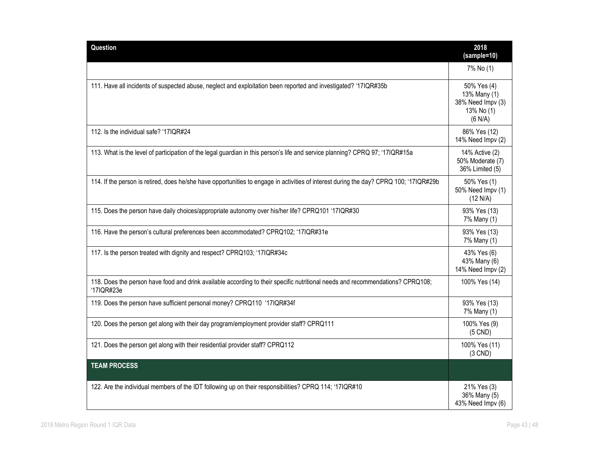| Question                                                                                                                                     | 2018<br>(sample=10)                                                       |
|----------------------------------------------------------------------------------------------------------------------------------------------|---------------------------------------------------------------------------|
|                                                                                                                                              | 7% No (1)                                                                 |
| 111. Have all incidents of suspected abuse, neglect and exploitation been reported and investigated? '17IQR#35b                              | 50% Yes (4)<br>13% Many (1)<br>38% Need Impv (3)<br>13% No (1)<br>(6 N/A) |
| 112. Is the individual safe? '17IQR#24                                                                                                       | 86% Yes (12)<br>14% Need Impv (2)                                         |
| 113. What is the level of participation of the legal guardian in this person's life and service planning? CPRQ 97; '17IQR#15a                | 14% Active (2)<br>50% Moderate (7)<br>36% Limited (5)                     |
| 114. If the person is retired, does he/she have opportunities to engage in activities of interest during the day? CPRQ 100; '17IQR#29b       | 50% Yes (1)<br>50% Need Impv (1)<br>(12 N/A)                              |
| 115. Does the person have daily choices/appropriate autonomy over his/her life? CPRQ101 '17IQR#30                                            | 93% Yes (13)<br>7% Many (1)                                               |
| 116. Have the person's cultural preferences been accommodated? CPRQ102; '17IQR#31e                                                           | 93% Yes (13)<br>7% Many (1)                                               |
| 117. Is the person treated with dignity and respect? CPRQ103; '17IQR#34c                                                                     | 43% Yes (6)<br>43% Many (6)<br>14% Need Impv (2)                          |
| 118. Does the person have food and drink available according to their specific nutritional needs and recommendations? CPRQ108;<br>'17IQR#23e | 100% Yes (14)                                                             |
| 119. Does the person have sufficient personal money? CPRQ110 '17IQR#34f                                                                      | 93% Yes (13)<br>7% Many (1)                                               |
| 120. Does the person get along with their day program/employment provider staff? CPRQ111                                                     | 100% Yes (9)<br>$(5$ CND)                                                 |
| 121. Does the person get along with their residential provider staff? CPRQ112                                                                | 100% Yes (11)<br>$(3$ CND)                                                |
| <b>TEAM PROCESS</b>                                                                                                                          |                                                                           |
| 122. Are the individual members of the IDT following up on their responsibilities? CPRQ 114; '17IQR#10                                       | 21% Yes (3)<br>36% Many (5)<br>43% Need Impv (6)                          |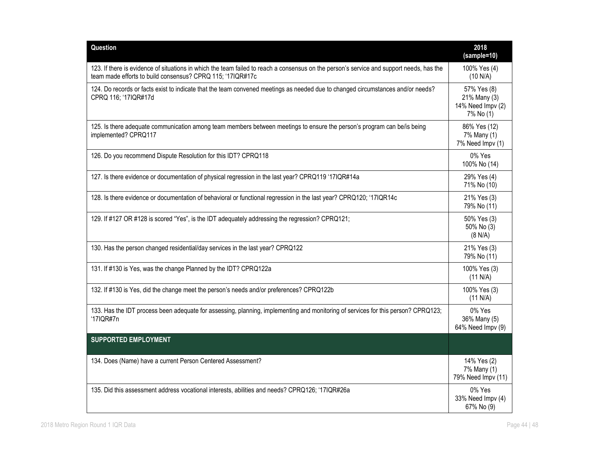| Question                                                                                                                                                                                               | 2018<br>(sample=10)                                           |
|--------------------------------------------------------------------------------------------------------------------------------------------------------------------------------------------------------|---------------------------------------------------------------|
| 123. If there is evidence of situations in which the team failed to reach a consensus on the person's service and support needs, has the<br>team made efforts to build consensus? CPRQ 115; '17IQR#17c | 100% Yes (4)<br>(10 N/A)                                      |
| 124. Do records or facts exist to indicate that the team convened meetings as needed due to changed circumstances and/or needs?<br>CPRQ 116; '17IQR#17d                                                | 57% Yes (8)<br>21% Many (3)<br>14% Need Impv (2)<br>7% No (1) |
| 125. Is there adequate communication among team members between meetings to ensure the person's program can be/is being<br>implemented? CPRQ117                                                        | 86% Yes (12)<br>7% Many (1)<br>7% Need Impv (1)               |
| 126. Do you recommend Dispute Resolution for this IDT? CPRQ118                                                                                                                                         | 0% Yes<br>100% No (14)                                        |
| 127. Is there evidence or documentation of physical regression in the last year? CPRQ119 '17IQR#14a                                                                                                    | 29% Yes (4)<br>71% No (10)                                    |
| 128. Is there evidence or documentation of behavioral or functional regression in the last year? CPRQ120; '17IQR14c                                                                                    | 21% Yes (3)<br>79% No (11)                                    |
| 129. If #127 OR #128 is scored "Yes", is the IDT adequately addressing the regression? CPRQ121;                                                                                                        | 50% Yes (3)<br>50% No (3)<br>(8 N/A)                          |
| 130. Has the person changed residential/day services in the last year? CPRQ122                                                                                                                         | 21% Yes (3)<br>79% No (11)                                    |
| 131. If #130 is Yes, was the change Planned by the IDT? CPRQ122a                                                                                                                                       | 100% Yes (3)<br>(11 N/A)                                      |
| 132. If #130 is Yes, did the change meet the person's needs and/or preferences? CPRQ122b                                                                                                               | 100% Yes (3)<br>(11 N/A)                                      |
| 133. Has the IDT process been adequate for assessing, planning, implementing and monitoring of services for this person? CPRQ123;<br>'17IQR#7n                                                         | 0% Yes<br>36% Many (5)<br>64% Need Impv (9)                   |
| <b>SUPPORTED EMPLOYMENT</b>                                                                                                                                                                            |                                                               |
| 134. Does (Name) have a current Person Centered Assessment?                                                                                                                                            | 14% Yes (2)<br>7% Many (1)<br>79% Need Impv (11)              |
| 135. Did this assessment address vocational interests, abilities and needs? CPRQ126; '17IQR#26a                                                                                                        | 0% Yes<br>33% Need Impv (4)<br>67% No (9)                     |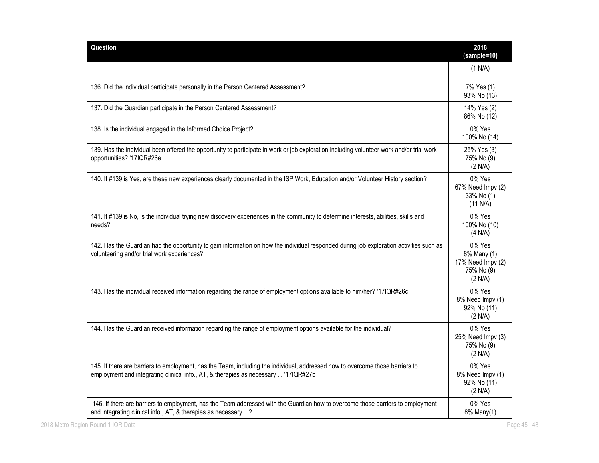| Question                                                                                                                                                                                                             | 2018<br>(sample=10)                                                 |
|----------------------------------------------------------------------------------------------------------------------------------------------------------------------------------------------------------------------|---------------------------------------------------------------------|
|                                                                                                                                                                                                                      | (1 N/A)                                                             |
| 136. Did the individual participate personally in the Person Centered Assessment?                                                                                                                                    | 7% Yes (1)<br>93% No (13)                                           |
| 137. Did the Guardian participate in the Person Centered Assessment?                                                                                                                                                 | 14% Yes (2)<br>86% No (12)                                          |
| 138. Is the individual engaged in the Informed Choice Project?                                                                                                                                                       | 0% Yes<br>100% No (14)                                              |
| 139. Has the individual been offered the opportunity to participate in work or job exploration including volunteer work and/or trial work<br>opportunities? '17IQR#26e                                               | 25% Yes (3)<br>75% No (9)<br>(2 N/A)                                |
| 140. If #139 is Yes, are these new experiences clearly documented in the ISP Work, Education and/or Volunteer History section?                                                                                       | 0% Yes<br>67% Need Impv (2)<br>33% No (1)<br>(11 N/A)               |
| 141. If #139 is No, is the individual trying new discovery experiences in the community to determine interests, abilities, skills and<br>needs?                                                                      | 0% Yes<br>100% No (10)<br>(4 N/A)                                   |
| 142. Has the Guardian had the opportunity to gain information on how the individual responded during job exploration activities such as<br>volunteering and/or trial work experiences?                               | 0% Yes<br>8% Many (1)<br>17% Need Impv (2)<br>75% No (9)<br>(2 N/A) |
| 143. Has the individual received information regarding the range of employment options available to him/her? '17IQR#26c                                                                                              | 0% Yes<br>8% Need Impv (1)<br>92% No (11)<br>(2 N/A)                |
| 144. Has the Guardian received information regarding the range of employment options available for the individual?                                                                                                   | 0% Yes<br>25% Need Impv (3)<br>75% No (9)<br>(2 N/A)                |
| 145. If there are barriers to employment, has the Team, including the individual, addressed how to overcome those barriers to<br>employment and integrating clinical info., AT, & therapies as necessary  '17IQR#27b | 0% Yes<br>8% Need Impv (1)<br>92% No (11)<br>(2 N/A)                |
| 146. If there are barriers to employment, has the Team addressed with the Guardian how to overcome those barriers to employment<br>and integrating clinical info., AT, & therapies as necessary ?                    | 0% Yes<br>8% Many(1)                                                |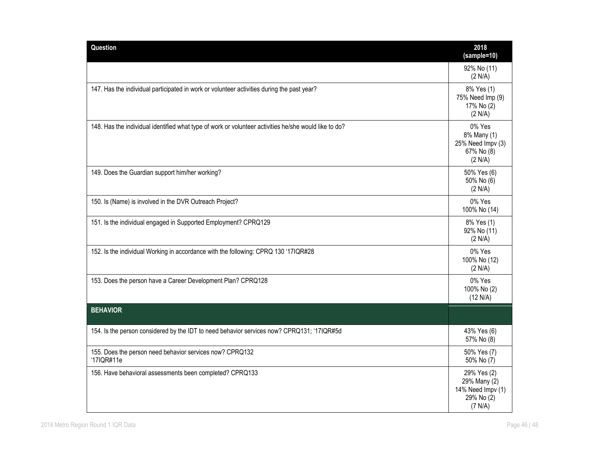| Question                                                                                              | 2018<br>(sample=10)                                                       |
|-------------------------------------------------------------------------------------------------------|---------------------------------------------------------------------------|
|                                                                                                       | 92% No (11)<br>(2 N/A)                                                    |
| 147. Has the individual participated in work or volunteer activities during the past year?            | 8% Yes (1)<br>75% Need Imp (9)<br>17% No (2)<br>(2 N/A)                   |
| 148. Has the individual identified what type of work or volunteer activities he/she would like to do? | 0% Yes<br>8% Many (1)<br>25% Need Impv (3)<br>67% No (8)<br>(2 N/A)       |
| 149. Does the Guardian support him/her working?                                                       | 50% Yes (6)<br>50% No (6)<br>(2 N/A)                                      |
| 150. Is (Name) is involved in the DVR Outreach Project?                                               | 0% Yes<br>100% No (14)                                                    |
| 151. Is the individual engaged in Supported Employment? CPRQ129                                       | 8% Yes (1)<br>92% No (11)<br>(2 N/A)                                      |
| 152. Is the individual Working in accordance with the following: CPRQ 130 '17IQR#28                   | 0% Yes<br>100% No (12)<br>(2 N/A)                                         |
| 153. Does the person have a Career Development Plan? CPRQ128                                          | 0% Yes<br>100% No (2)<br>(12 N/A)                                         |
| <b>BEHAVIOR</b>                                                                                       |                                                                           |
| 154. Is the person considered by the IDT to need behavior services now? CPRQ131; '17IQR#5d            | 43% Yes (6)<br>57% No (8)                                                 |
| 155. Does the person need behavior services now? CPRQ132<br>'17IQR#11e                                | 50% Yes (7)<br>50% No (7)                                                 |
| 156. Have behavioral assessments been completed? CPRQ133                                              | 29% Yes (2)<br>29% Many (2)<br>14% Need Impv (1)<br>29% No (2)<br>(7 N/A) |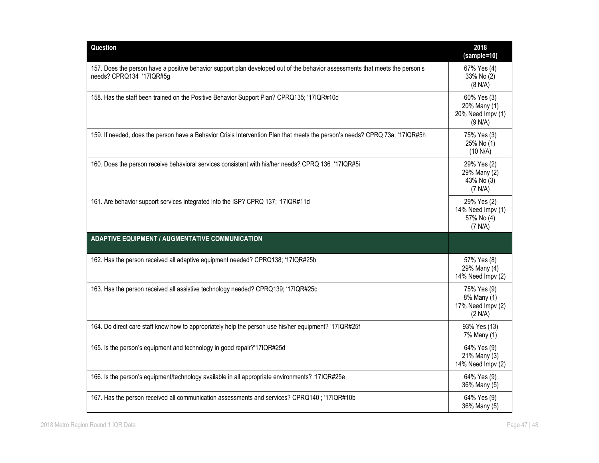| Question                                                                                                                                                 | 2018<br>$(sample=10)$                                       |
|----------------------------------------------------------------------------------------------------------------------------------------------------------|-------------------------------------------------------------|
| 157. Does the person have a positive behavior support plan developed out of the behavior assessments that meets the person's<br>needs? CPRQ134 '17IQR#5g | 67% Yes (4)<br>33% No (2)<br>(8 N/A)                        |
| 158. Has the staff been trained on the Positive Behavior Support Plan? CPRQ135; '17IQR#10d                                                               | 60% Yes (3)<br>20% Many (1)<br>20% Need Impv (1)<br>(9 N/A) |
| 159. If needed, does the person have a Behavior Crisis Intervention Plan that meets the person's needs? CPRQ 73a; '17IQR#5h                              | 75% Yes (3)<br>25% No (1)<br>(10 N/A)                       |
| 160. Does the person receive behavioral services consistent with his/her needs? CPRQ 136 '17IQR#5i                                                       | 29% Yes (2)<br>29% Many (2)<br>43% No (3)<br>(7 N/A)        |
| 161. Are behavior support services integrated into the ISP? CPRQ 137; '17IQR#11d                                                                         | 29% Yes (2)<br>14% Need Impv (1)<br>57% No (4)<br>(7 N/A)   |
| <b>ADAPTIVE EQUIPMENT / AUGMENTATIVE COMMUNICATION</b>                                                                                                   |                                                             |
| 162. Has the person received all adaptive equipment needed? CPRQ138; '17IQR#25b                                                                          | 57% Yes (8)<br>29% Many (4)<br>14% Need Impv (2)            |
| 163. Has the person received all assistive technology needed? CPRQ139; '17IQR#25c                                                                        | 75% Yes (9)<br>8% Many (1)<br>17% Need Impv (2)<br>(2 N/A)  |
| 164. Do direct care staff know how to appropriately help the person use his/her equipment? '17IQR#25f                                                    | 93% Yes (13)<br>7% Many (1)                                 |
| 165. Is the person's equipment and technology in good repair?'17IQR#25d                                                                                  | 64% Yes (9)<br>21% Many (3)<br>14% Need Impv (2)            |
| 166. Is the person's equipment/technology available in all appropriate environments? '17IQR#25e                                                          | 64% Yes (9)<br>36% Many (5)                                 |
| 167. Has the person received all communication assessments and services? CPRQ140; '17IQR#10b                                                             | 64% Yes (9)<br>36% Many (5)                                 |